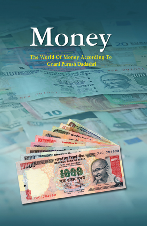# Money The World Of Money According To

**Gnani Purush Dadashri** 



**EV2**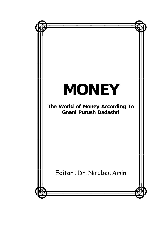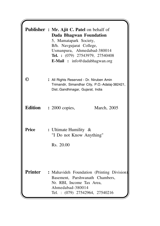|                | Publisher: Mr. Ajit C. Patel on behalf of<br><b>Dada Bhagwan Foundation</b><br>5, Mamatapark Society,<br>B/h. Navgujarat College,<br>Usmanpura, Ahmedabad-380014<br>Tel. : (079) 27543979, 27540408<br>E-Mail: info@dadabhagwan.org |
|----------------|-------------------------------------------------------------------------------------------------------------------------------------------------------------------------------------------------------------------------------------|
| O              | : All Rights Reserved - Dr. Niruben Amin<br>Trimandir, Simandhar City, P.O.-Adalaj-382421,<br>Dist.: Gandhinagar, Gujarat, India                                                                                                    |
| Edition        | March, 2005<br>: 2000 copies,                                                                                                                                                                                                       |
| <b>Price</b>   | : Ultimate Humility $\&$<br>"I Do not Know Anything"<br>Rs. 20.00                                                                                                                                                                   |
| <b>Printer</b> | : Mahavideh Foundation (Printing Division)<br>Basement, Parshwanath Chambers,<br>Nr. RBI, Income Tax Area,<br>Ahmedabad-380014<br>Tel. : (079) 27542964, 27540216                                                                   |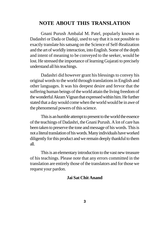#### **NOTE ABOUT THIS TRANSLATION**

Gnani Purush Ambalal M. Patel, popularly known as Dadashri or Dada or Dadaji, used to say that it is not possible to exactly translate his satsang on the Science of Self-Realization and the art of worldly interaction, into English. Some of the depth and intent of meaning to be conveyed to the seeker, would be lost. He stressed the importance of learning Gujarati to precisely understand all his teachings.

Dadashri did however grant his blessings to convey his original words to the world through translations in English and other languages. It was his deepest desire and fervor that the suffering human beings of the world attain the living freedom of the wonderful Akram Vignan that expressed within him. He further stated that a day would come when the world would be in awe of the phenomenal powers of this science.

This is an humble attempt to present to the world the essence of the teachings of Dadashri, the Gnani Purush. A lot of care has been taken to preserve the tone and message of his words. This is not a literal translation of his words. Many individuals have worked diligently for this product and we remain deeply thankful to them all.

This is an elementary introduction to the vast new treasure of his teachings. Please note that any errors committed in the translation are entirely those of the translators and for those we request your pardon.

#### **Jai Sat Chit Anand**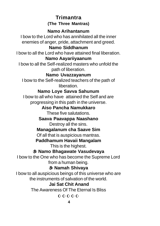# **Trimantra (The Three Mantras)**

# **Namo Arihantanum**

I bow to the Lord who has annihilated all the inner enemies of anger, pride, attachment and greed. **Namo Siddhanum** I bow to all the Lord who have attained final liberation. **Namo Aayariiyaanum** I bow to all the Self-realized masters who unfold the path of liberation. **Namo Uvazzayanum** I bow to the Self-realized teachers of the path of liberation. **Namo Loye Savva Sahunum** I bow to all who have attained the Self and are progressing in this path in the universe. **Aiso Pancha Namukkaro** These five salutations. **Saava Paavappa Naashano** Destroy all the sins. **Managalanum cha Saave Sim** Of all that is auspicious mantras. **Paddhamum Havaii Mangalam** This is the highest. C **Namo Bhagawate Vasudevaya** I bow to the One who has become the Supreme Lord from a human being. C **Namah Shivaya** I bow to all auspicious beings of this universe who are the instruments of salvation of the world. **Jai Sat Chit Anand** The Awareness Of The Eternal Is Bliss  $G G G G$ 

**4**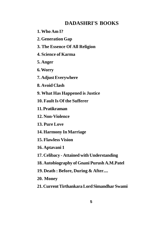### **DADASHRI'S BOOKS**

- **1. Who Am I?**
- **2. Generation Gap**
- **3. The Essence Of All Religion**
- **4. Science of Karma**
- **5. Anger**
- **6. Worry**
- **7. Adjust Everywhere**
- **8. Avoid Clash**
- **9. What Has Happened is Justice**
- **10. Fault Is Of the Sufferer**
- **11. Pratikraman**
- **12. Non-Violence**
- **13. Pure Love**
- **14. Harmony In Marriage**
- **15. Flawless Vision**
- **16. Aptavani 1**
- **17. Celibacy Attained with Understanding**
- **18. Autobiography of Gnani Purush A.M.Patel**
- **19. Death : Before, During & After....**
- **20. Money**
- **21. Current Tirthankara Lord Simandhar Swami**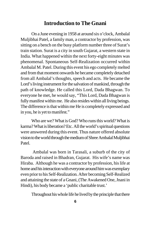# **Introduction to The Gnani**

On a June evening in 1958 at around six o'clock, Ambalal Muljibhai Patel, a family man, a contractor by profession, was sitting on a bench on the busy platform number three of Surat's train station. Surat is a city in south Gujarat, a western state in India. What happened within the next forty-eight minutes was phenomenal. Spontaneous Self-Realization occurred within Ambalal M. Patel. During this event his ego completely melted and from that moment onwards he became completely detached from all Ambalal's thoughts, speech and acts. He became the Lord's living instrument for the salvation of mankind, through the path of knowledge. He called this Lord, Dada Bhagwan. To everyone he met, he would say, "This Lord, Dada Bhagwan is fully manifest within me. He also resides within all living beings. The difference is that within me He is completely expressed and in you, he is yet to manifest."

Who are we? What is God? Who runs this world? What is karma? What is liberation? Etc. All the world's spiritual questions were answered during this event. Thus nature offered absolute vision to the world through the medium of Shree Ambalal Muljibhai Patel.

 Ambalal was born in Tarasali, a suburb of the city of Baroda and raised in Bhadran, Gujarat. His wife's name was Hiraba. Although he was a contractor by profession, his life at home and his interaction with everyone around him was exemplary even prior to his Self-Realization. After becoming Self-Realized and attaining the state of a Gnani, (The Awakened One, Jnani in Hindi), his body became a 'public charitable trust.'

Throughout his whole life he lived by the principle that there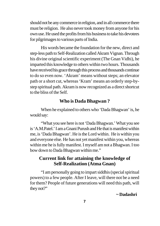should not be any commerce in religion, and in all commerce there must be religion. He also never took money from anyone for his own use. He used the profits from his business to take his devotees for pilgrimages to various parts of India.

His words became the foundation for the new, direct and step-less path to Self-Realization called Akram Vignan. Through his divine original scientific experiment (The Gnan Vidhi), he imparted this knowledge to others within two hours. Thousands have received his grace through this process and thousands continue to do so even now. 'Akram' means without steps; an elevator path or a short cut, whereas 'Kram' means an orderly step-bystep spiritual path. Akram is now recognized as a direct shortcut to the bliss of the Self.

#### **Who is Dada Bhagwan ?**

When he explained to others who 'Dada Bhagwan' is, he would say:

"What you see here is not 'Dada Bhagwan.' What you see is 'A.M.Patel.' I am a Gnani Purush and He that is manifest within me, is 'Dada Bhagwan'. He is the Lord within. He is within you and everyone else. He has not yet manifest within you, whereas within me he is fully manifest. I myself am not a Bhagwan. I too bow down to Dada Bhagwan within me."

#### **Current link for attaining the knowledge of Self-Realization (Atma Gnan)**

"I am personally going to impart siddhis (special spiritual powers) to a few people. After I leave, will there not be a need for them? People of future generations will need this path, will they not?"

**~ Dadashri**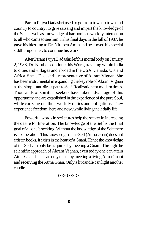Param Pujya Dadashri used to go from town to town and country to country, to give satsang and impart the knowledge of the Self as well as knowledge of harmonious worldly interaction to all who came to see him. In his final days in the fall of 1987, he gave his blessing to Dr. Niruben Amin and bestowed his special siddhis upon her, to continue his work.

After Param Pujya Dadashri left his mortal body on January 2, 1988, Dr. Niruben continues his Work, traveling within India to cities and villages and abroad in the USA, Canada, UK and Africa. She is Dadashri's representative of Akram Vignan. She has been instrumental in expanding the key role of Akram Vignan as the simple and direct path to Self-Realization for modern times. Thousands of spiritual seekers have taken advantage of this opportunity and are established in the experience of the pure Soul, while carrying out their worldly duties and obligations. They experience freedom, here and now, while living their daily life.

Powerful words in scriptures help the seeker in increasing the desire for liberation. The knowledge of the Self is the final goal of all one's seeking. Without the knowledge of the Self there is no liberation. This knowledge of the Self (Atma Gnan) does not exist in books. It exists in the heart of a Gnani. Hence the knowledge of the Self can only be acquired by meeting a Gnani. Through the scientific approach of Akram Vignan, even today one can attain Atma Gnan, but it can only occur by meeting a living Atma Gnani and receiving the Atma Gnan. Only a lit candle can light another candle.

#### $G$   $G$   $G$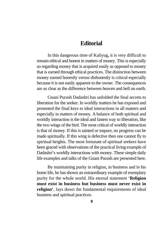### **Editorial**

In this dangerous time of Kaliyug, it is very difficult to remain ethical and honest in matters of money. This is especially so regarding money that is acquired easily as opposed to money that is earned through ethical practices. The distinction between money earned honestly versus dishonestly is critical especially because it is not easily apparent to the owner. The consequences are as clear as the difference between heaven and hell on earth.

Gnani Purush Dadashri has unfolded the final secrets to liberation for the seeker. In worldly matters he has exposed and presented the final keys to ideal interactions in all matters and especially in matters of money. A balance of both spiritual and worldly interaction is the ideal and fastest way to liberation, like the two wings of the bird. The most critical of worldly interaction is that of money. If this is tainted or impure, no progress can be made spiritually. If this wing is defective then one cannot fly to spiritual heights. The most fortunate of spiritual seekers have been graced with observations of the practical living example of Dadashri's worldly interactions with money. These simple daily life examples and talks of the Gnani Purush are presented here.

By maintaining purity in religion, in business and in his home life, he has shown an extraordinary example of exemplary purity for the whole world. His eternal statement '**Religion must exist in business but business must never exist in religion'**, lays down the fundamental requirements of ideal business and spiritual practices.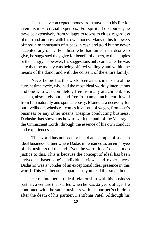He has never accepted money from anyone in his life for even his most crucial expenses. For spiritual discourses, he traveled extensively from villages to towns to cities, regardless of train and airfares, with his own money. Many of his followers offered him thousands of rupees in cash and gold but he never accepted any of it. For those who had an earnest desire to give, he suggested they give for benefit of others, to the temples or the hungry. However, his suggestions only came after he was sure that the money was being offered willingly and within the means of the donor and with the consent of the entire family.

Never before has this world seen a man, in this era of the current time cycle, who had the most ideal worldly interactions and one who was completely free from any attachment. His speech, absolutely pure and free from any attachment flowed from him naturally and spontaneously. Money is a necessity for our livelihood, whether it comes in a form of wages, from one's business or any other means. Despite conducting business, Dadashri has shown us how to walk the path of the Vitarag – the Omniscient Lords, through the essence of his own conduct and experiences.

This world has not seen or heard an example of such an ideal business partner where Dadashri remained as an employee of his business till the end. Even the word 'ideal' does not do justice to this. This is because the concept of ideal has been arrived at based one's individual views and experiences. Dadashri was a wonder of an exceptional ideal presence in this world. This will become apparent as you read this small book.

He maintained an ideal relationship with his business partner, a venture that started when he was 22 years of age. He continued with the same business with his partner's children after the death of his partner, Kantibhai Patel. Although his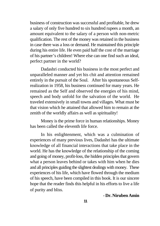business of construction was successful and profitable, he drew a salary of only five hundred to six hundred rupees a month, an amount equivalent to the salary of a person with non-metric qualification. The rest of the money was retained in the business in case there was a loss or demand. He maintained this principle during his entire life. He even paid half the cost of the marriage of his partner's children! Where else can one find such an ideal, perfect partner in the world?

Dadashri conducted his business in the most perfect and unparalleled manner and yet his chit and attention remained entirely in the pursuit of the Soul. After his spontaneous Selfrealization in 1958, his business continued for many years. He remained as the Self and observed the energies of his mind, speech and body unfold for the salvation of the world. He traveled extensively in small towns and villages. What must be that vision which he attained that allowed him to remain at the zenith of the worldly affairs as well as spirituality!

Money is the prime force in human relationships. Money has been called the eleventh life force.

In his enlightenment, which was a culmination of experiences of many previous lives, Dadashri has the ultimate knowledge of all financial interactions that take place in the world. He has the knowledge of the relationship of the coming and going of money, profit-loss, the hidden principles that govern what a person leaves behind or takes with him when he dies and all principles guiding the slightest dealings with money. These experiences of his life, which have flowed through the medium of his speech, have been compiled in this book. It is our sincere hope that the reader finds this helpful in his efforts to live a life of purity and bliss.

#### **- Dr. Niruben Amin**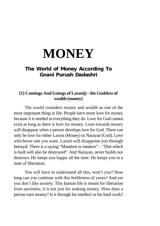# **MONEY**

# **The World of Money According To Gnani Purush Dadashri**

#### **[1] Comings And Goings of Laxmiji - the Goddess of wealth (money)**

The world considers money and wealth as one of the most important thing in life. People have more love for money because it is needed in everything they do. Love for God cannot exist as long as there is love for money. Love towards money will disappear when a person develops love for God. There can only be love for either Laxmi (Money) or Narayan (God). Love whichever one you want. Laxmi will disappoint you through betrayal. There is a saying "Mandave te randave" – 'That which is built will also be destroyed!' And Narayan, never builds nor destroys. He keeps you happy all the time. He keeps you in a state of liberation.

You will have to understand all this, won't you? How long can you continue with this feebleness of yours? And yet you don't like anxiety. This human life is meant for liberation from anxieties; it is not just for making money. How does a person earn money? Is it through his intellect or his hard work?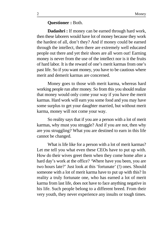#### **Questioner :** Both.

**Dadashri :** If money can be earned through hard work, then these laborers would have lot of money because they work the hardest of all, don't they? And if money could be earned through the intellect, then there are extremely well educated people out there and yet their shoes are all worn out! Earning money is never from the use of the intellect nor is it the fruits of hard labor. It is the reward of one's merit karmas from one's past life. So if you want money, you have to be cautious where merit and demerit karmas are concerned.

Money goes to those with merit karma*,* whereas hard working people run after money. So from this you should realize that money would only come your way if you have the merit karmas. Hard work will earn you some food and you may have some surplus to get your daughter married, but without merit karma, money will not come your way.

So reality says that if you are a person with a lot of merit karmas, why must you struggle? And if you are not, then why are you struggling? What you are destined to earn in this life cannot be changed.

What is life like for a person with a lot of merit karmas? Let me tell you what even these CEOs have to put up with. How do their wives greet them when they come home after a hard day's work at the office? 'Where have you been, you are two hours late?' Just look at this 'fortunate' (!) ones*.* Should someone with a lot of merit karma have to put up with this? In reality a truly fortunate one, who has earned a lot of merit karma from last life, does not have to face anything negative in his life. Such people belong to a different breed. From their very youth, they never experience any insults or tough times.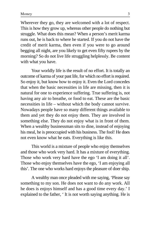Wherever they go, they are welcomed with a lot of respect. This is how they grow up, whereas other people do nothing but struggle. What does this mean? When a person's merit karma runs out, he is back to where he started. If you do not have the credit of merit karma, then even if you were to go around begging all night, are you likely to get even fifty rupees by the morning? So do not live life struggling helplessly. Be content with what you have.

Your worldly life is the result of no effort. It is totally an outcome of karma of your past life, for which no effort is required. So enjoy it, but know how to enjoy it. Even the Lord concedes that when the basic necessities in life are missing, then it is natural for one to experience suffering. True suffering is, not having any air to breathe, or food to eat. These are the basic necessities in life – without which the body cannot survive. Nowadays people have so many different things available to them and yet they do not enjoy them. They are involved in something else. They do not enjoy what is in front of them. When a wealthy businessman sits to dine, instead of enjoying his meal, he is preoccupied with his business. The fool! He does not even know what he eats. Everything is like this.

This world is a mixture of people who enjoy themselves and those who work very hard. It has a mixture of everything. Those who work very hard have the ego 'I am doing it all'. Those who enjoy themselves have the ego, 'I am enjoying all this'. The one who works hard enjoys the pleasure of doer ship.

A wealthy man once pleaded with me saying, 'Please say something to my son. He does not want to do any work. All he does is enjoys himself and has a good time every day.' I explained to the father, ' It is not worth saying anything. He is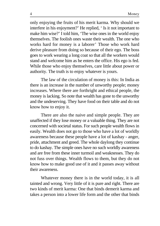only enjoying the fruits of his merit karma*.* Why should we interfere in his enjoyment?' He replied, ' Is it not important to make him wise?' I told him, 'The wise ones in the world enjoy themselves. The foolish ones waste their wealth. The one who works hard for money is a laborer' Those who work hard derive pleasure from doing so because of their ego. The boss goes to work wearing a long coat so that all the workers would stand and welcome him as he enters the office. His ego is fed. While those who enjoy themselves, care little about power or authority. The truth is to enjoy whatever is yours.

The law of the circulation of money is this: In India as there is an increase in the number of unworthy people; money increases. Where there are forthright and ethical people, the money is lacking. So note that wealth has gone to the unworthy and the undeserving. They have food on their table and do not know how to enjoy it.

There are also the naive and simple people. They are unaffected if they lose money or a valuable thing. They are not concerned with societal status. For such people wealth flows in easily. Wealth does not go to those who have a lot of worldly awareness because these people have a lot of kashay - anger, pride, attachment and greed. The whole daylong they continue to do kashay. The simple ones have no such worldly awareness and are free from these inner turmoil and weaknesses. They do not fuss over things. Wealth flows to them, but they do not know how to make good use of it and it passes away without their awareness.

Whatever money there is in the world today, it is all tainted and wrong. Very little of it is pure and right. There are two kinds of merit karma: One that binds demerit karma and takes a person into a lower life form and the other that binds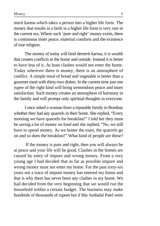merit karma which takes a person into a higher life form. The money that results in a birth in a higher life form is very rare in the current era. Where such 'pure and right' money exists, there is continuous inner peace, material comforts and the existence of true religion.

The money of today will bind demerit karma; it is wealth that creates conflicts in the home and outside. Instead it is better to have less of it. At least clashes would not enter the home. Today wherever there is money, there is an atmosphere of conflict. A simple meal of bread and vegetable is better than a gourmet meal with thirty-two dishes. In the current time just one rupee of the right kind will bring tremendous peace and inner satisfaction. Such money creates an atmosphere of harmony in the family and will prompt only spiritual thoughts in everyone.

I once asked a woman from a reputable family in Bombay whether they had any quarrels in their home. She replied, "Every morning we have quarrels for breakfast!" I told her they must be saving a lot of money on food and she replied, "No, we still have to spend money. As we butter the toast, the quarrels go on and so does the breakfast!" What kind of people are these?

 If the money is pure and right, then you will always be at peace and your life will be good. Clashes in the homes are caused by entry of impure and wrong money. From a very young age I had decided that as far as possible impure and wrong money must not enter my home. For the past sixty-six years not a trace of impure money has entered my home and that is why there has never been any clashes in my home. We had decided from the very beginning that we would run the household within a certain budget. The business may make hundreds of thousands of rupees but if this Ambalal Patel were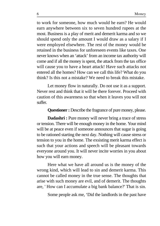to work for someone, how much would he earn? He would earn anywhere between six to seven hundred rupees at the most. Business is a play of merit and demerit karma and so we should spend only the amount I would draw as a salary if I were employed elsewhere. The rest of the money would be retained in the business for unforeseen events like taxes. One never knows when an 'attack' from an income tax authority will come and if all the money is spent, the attack from the tax office will cause you to have a heart attack! Have such attacks not entered all the homes? How can we call this life? What do you think? Is this not a mistake? We need to break this mistake.

Let money flow in naturally. Do not use it as a support. Never rest and think that it will be there forever. Proceed with caution of this awareness so that when it leaves you will not suffer.

**Questioner :** Describe the fragrance of pure money, please.

**Dadashri :** Pure money will never bring a trace of stress or tension. There will be enough money in the home. Your mind will be at peace even if someone announces that sugar is going to be rationed starting the next day. Nothing will cause stress or tension to you in the home. The exsisting merit karma effect is such that your actions and speech will be pleasant towards everyone around you. It will never incite worries in you about how you will earn money.

Here what we have all around us is the money of the wrong kind, which will lead to sin and demerit karma. This cannot be called money in the true sense. The thoughts that arise with such money are evil, and of demerit. The thoughts are, ' How can I accumulate a big bank balance?' That is sin.

Some people ask me, 'Did the landlords in the past have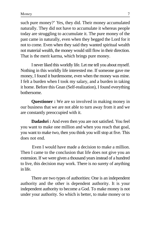such pure money?' Yes, they did. Their money accumulated naturally. They did not have to accumulate it whereas people today are struggling to accumulate it. The pure money of the past came in naturally, even when they begged the Lord for it not to come. Even when they said they wanted spiritual wealth not material wealth, the money would still flow in their direction. That is the merit karma, which brings pure money.

I never liked this worldly life. Let me tell you about myself. Nothing in this worldly life interested me. If someone gave me money, I found it burdensome, even when the money was mine. I felt a burden when I took my salary, and a burden in taking it home. Before this Gnan (Self-realization)*,* I found everything bothersome*.*

**Questioner :** We are so involved in making money in our business that we are not able to turn away from it and we are constantly preoccupied with it.

**Dadashri :** And even then you are not satisfied. You feel you want to make one million and when you reach that goal, you want to make two, then you think you will stop at five. This does not end.

Even I would have made a decision to make a million. Then I came to the conclusion that life does not give you an extension. If we were given a thousand years instead of a hundred to live, this decision may work. There is no surety of anything in life.

There are two types of authorities: One is an independent authority and the other is dependent authority. It is your independent authority to become a God. To make money is not under your authority. So which is better, to make money or to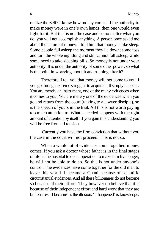realize the Self? I know how money comes. If the authority to make money were in one's own hands, then one would even fight for it. But that is not the case and so no matter what you do, you will not accomplish anything. A person once asked me about the nature of money. I told him that money is like sleep. Some people fall asleep the moment they lie down; some toss and turn the whole nightlong and still cannot fall asleep, while some need to take sleeping pills. So money is not under your authority. It is under the authority of some other power, so what is the point in worrying about it and running after it?

Therefore, I tell you that money will not come to you if you go through extreme struggles to acquire it. It simply happens. You are merely an instrument, one of the many evidences when it comes to you. You are merely one of the evidences when you go and return from the court (talking to a lawyer disciple), so is the speech of yours in the trial. All this is not worth paying too much attention to. What is needed happens with the right amount of attention by itself. If you gain this understanding you will be free from all tension.

 Currently you have the firm conviction that without you the case in the court will not proceed. This is not so.

When a whole lot of evidences come together, money comes. If you ask a doctor whose father is in the final stages of life in the hospital to do an operation to make him live longer, he will not be able to do so. So this is not under anyone's control. The evidences have come together for the old man to leave this world. I became a Gnani because of scientific circumstantial evidences. And all these billionaires do not become so because of their efforts. They however do believe that it is because of their independent effort and hard work that they are billionaires. 'I became' is the illusion. 'It happened' is knowledge.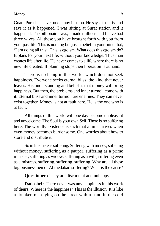Gnani Purush is never under any illusion. He says it as it is, and says it as it happened. I was sitting at Surat station and it happened. The billionaire says, I made millions and I have had three wives. All these you have brought forth with you from your past life. This is nothing but just a belief in your mind that, 'I am doing all this'. This is egoism. What does this egoism do? It plans for your next life, without your knowledge. Thus man creates life after life. He never comes to a life where there is no new life created. If planning stops then liberation is at hand.

There is no being in this world, which does not seek happiness. Everyone seeks eternal bliss, the kind that never leaves. His understanding and belief is that money will bring happiness. But then, the problems and inner turmoil come with it. Eternal bliss and inner turmoil are enemies. They can never exist together. Money is not at fault here. He is the one who is at fault.

All things of this world will one day become unpleasant and unwelcome. The Soul is your own Self. There is no suffering here. The worldly existence is such that a time arrives when even money becomes burdensome. One worries about how to store and distribute it.

So in life there is suffering. Suffering with money, suffering without money, suffering as a pauper, suffering as a prime minister, suffering as widow, suffering as a wife, suffering even as a mistress, suffering, suffering, suffering. Why are all these big businessmen of Ahmedabad suffering? What is the cause?

**Questioner :** They are discontent and unhappy.

**Dadashri :** There never was any happiness in this work of theirs. Where is the happiness? This is the illusion. It is like a drunken man lying on the street with a hand in the cold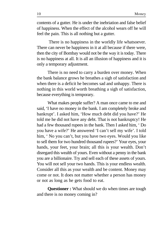contents of a gutter. He is under the inebriation and false belief of happiness. When the effect of the alcohol wears off he will feel the pain. This is all nothing but a gutter.

 There is no happiness in the worldly life whatsoever. There can never be happiness in it at all because if there were, then the city of Bombay would not be the way it is today. There is no happiness at all. It is all an illusion of happiness and it is only a temporary adjustment.

There is no need to carry a burden over money. When the bank balance grows he breathes a sigh of satisfaction and when there is a deficit he becomes sad and unhappy. There is nothing in this world worth breathing a sigh of satisfaction, because everything is temporary.

What makes people suffer? A man once came to me and said, 'I have no money in the bank. I am completely broke and bankrupt'. I asked him, 'How much debt did you have?' He told me he did not have any debt. That is not bankruptcy! He had a few thousand rupees in the bank. Then I asked him, ' Do you have a wife?' He answered 'I can't sell my wife'. I told him, 'No you can't, but you have two eyes. Would you like to sell them for two hundred thousand rupees?' Your eyes, your hands, your feet, your brain; all this is your wealth. Don't disregard this wealth of yours. Even without a penny in the bank you are a billionaire. Try and sell each of these assets of yours. You will not sell your two hands. This is your endless wealth. Consider all this as your wealth and be content. Money may come or not. It does not matter whether a person has money or not as long as he gets food to eat.

**Questioner :** What should we do when times are tough and there is no money coming in?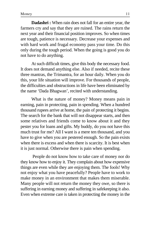**Dadashri :** When rain does not fall for an entire year, the farmers cry and say that they are ruined. The rains return the next year and their financial position improves. So when times are tough, patience is necessary. Decrease your expenses and with hard work and frugal economy pass your time. Do this only during the tough period. When the going is good you do not have to do anything.

At such difficult times, give this body the necessary food. It does not demand anything else. Also if needed, recite these three mantras, the Trimantra, for an hour daily. When you do this, your life situation will improve. For thousands of people, the difficulties and obstructions in life have been eliminated by the name 'Dada Bhagwan', recited with understanding.

What is the nature of money? Money means pain in earning, pain in protecting, pain in spending. When a hundred thousand rupees arrive at home, the pain of protecting it begins. The search for the bank that will not disappear starts, and then some relatives and friends come to know about it and they pester you for loans and gifts. My buddy, do you not have this much trust for me? All I want is a mere ten thousand, and you have to give when you are pestered enough. So the pain exists when there is excess and when there is scarcity. It is best when it is just normal. Otherwise there is pain when spending.

 People do not know how to take care of money nor do they know how to enjoy it. They complain about how expensive things are even while they are enjoying them. The fools! Why not enjoy what you have peacefully? People have to work to make money in an environment that makes them miserable. Many people will not return the money they owe, so there is suffering in earning money and suffering in safekeeping it also. Even when extreme care is taken in protecting the money in the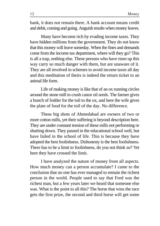bank, it does not remain there. A bank account means credit and debit, coming and going. Anguish results when money leaves.

Many have become rich by evading income taxes. They have hidden millions from the government. They do not know that this money will leave someday. When the fines and demands come from the income tax department, where will they go? This is all a trap, nothing else. These persons who have risen up this way carry so much danger with them, but are unaware of it. They are all involved in schemes to avoid income taxes all day and this meditation of theirs is indeed the return ticket to an animal life form.

Life of making money is like that of an ox running circles around the stone mill to crush castor oil seeds. The farmer gives a bunch of fodder for the toil to the ox, and here the wife gives the plate of food for the toil of the day. No difference.

These big shots of Ahmedabad are owners of two or more cotton mills, yet their suffering is beyond description here. They are under constant tension of these mills not performing or shutting down. They passed in the educational school well, but have failed in the school of life. This is because they have adopted the best foolishness. Dishonesty is the best foolishness. There has to be a limit to foolishness, do you not think so? Yet here they have crossed the limit.

I have analyzed the nature of money from all aspects. How much money can a person accumulate? I came to the conclusion that no one has ever managed to remain the richest person in the world. People used to say that Ford was the richest man, but a few years later we heard that someone else was. What is the point to all this? The horse that wins the race gets the first prize, the second and third horse will get some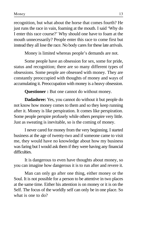recognition, but what about the horse that comes fourth? He just runs the race in vain, foaming at the mouth. I said 'Why do I enter this race course?' Why should one have to foam at the mouth unnecessarily? People enter this race to come first but instead they all lose the race. No body cares for these late arrivals.

Money is limited whereas people's demands are not.

Some people have an obsession for sex, some for pride, status and recognition; there are so many different types of obsessions*.* Some people are obsessed with money. They are constantly preoccupied with thoughts of money and ways of accumulating it. Preoccupation with money is a heavy obsession.

**Questioner :** But one cannot do without money.

**Dadashree:** Yes, you cannot do without it but people do not know how money comes to them and so they keep running after it. Money is like perspiration. It comes like perspiration. Some people perspire profusely while others perspire very little. Just as sweating is inevitable, so is the coming of money.

I never cared for money from the very beginning. I started business at the age of twenty-two and if someone came to visit me, they would have no knowledge about how my business was faring but I would ask them if they were having any financial difficulties.

It is dangerous to even have thoughts about money, so you can imagine how dangerous it is to run after and revere it.

Man can only go after one thing, either money or the Soul. It is not possible for a person to be attentive in two places at the same time. Either his attention is on money or it is on the Self. The focus of the worldly self can only be in one place. So what is one to do?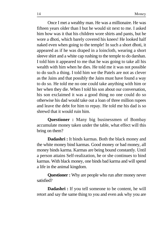Once I met a wealthy man. He was a millionaire. He was fifteen years older than I but he would sit next to me. I asked him how was it that his children wore shirts and pants, but he wore a dhoti, which barely covered his knees! He looked half naked even when going to the temple! In such a short dhoti, it appeared as if he was draped in a loincloth, wearing a short sleeve shirt and a white cap rushing to the temple to do darshan. I told him it appeared to me that he was going to take all his wealth with him when he dies. He told me it was not possible to do such a thing. I told him we the Patels are not as clever as the Jains and that possibly the Jains must have found a way to do so. He told me no one could take anything with him or her when they die. When I told his son about our conversation, his son exclaimed it was a good thing no one could do so otherwise his dad would take out a loan of three million rupees and leave the debt for him to repay. He told me his dad is so shrewd that it would ruin him.

**Questioner :** Many big businessmen of Bombay accumulate money taken under the table, what effect will this bring on them?

**Dadashri :** It binds karmas. Both the black money and the white money bind karmas. Good money or bad money, all money binds karma. Karmas are being bound constantly. Until a person attains Self-realization, he or she continues to bind karmas. With black money, one binds bad karma and will spend a life in the animal kingdom.

**Questioner :** Why are people who run after money never satisfied?

**Dadashri :** If you tell someone to be content, he will retort and say the same thing to you and even ask why you are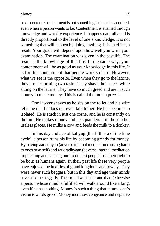so discontent. Contentment is not something that can be acquired, even when a person wants to be. Contentment is attained through knowledge and worldly experience. It happens naturally and is directly proportional to the level of one's knowledge. It is not something that will happen by doing anything. It is an effect, a result. Your grade will depend upon how well you write your examination. The examination was given in the past life. The result is the knowledge of this life. In the same way, your contentment will be as good as your knowledge in this life. It is for this contentment that people work so hard. However, what we see is the opposite. Even when they go to the latrine, they are performing two tasks. They shave their faces while sitting on the latrine. They have so much greed and are in such a hurry to make money. This is called the Indian puzzle.

One lawyer shaves as he sits on the toilet and his wife tells me that he does not even talk to her. He has become so isolated. He is stuck in just one corner and he is constantly on the run. He makes money and he squanders it in those other useless places. He milks a cow and feeds the milk to a donkey.

In this day and age of kaliyug (the fifth era of the time cycle), a person ruins his life by becoming greedy for money. By having aartadhyan (adverse internal meditation causing harm to ones own self) and raudradhyaan (adverse internal meditation implicating and causing hurt to others) people lose their right to be born as humans again. In their past life these very people have enjoyed the luxuries of grand kingdoms and royalty. They were never such beggars, but in this day and age their minds have become beggarly. Their mind wants this and that! Otherwise a person whose mind is fulfilled will walk around like a king, even if he has nothing. Money is such a thing that it turns one's vision towards greed. Money increases vengeance and negative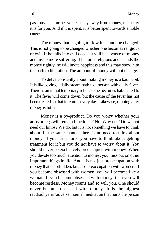passions. The further you can stay away from money, the better it is for you. And if it is spent, it is better spent towards a noble cause.

The money that is going to flow in cannot be changed. This is not going to be changed whether one becomes religious or evil. If he falls into evil deeds, it will be a waste of money and invite more suffering. If he turns religious and spends the money rightly, he will invite happiness and this may show him the path to liberation. The amount of money will not change.

To delve constantly about making money is a bad habit. It is like giving a daily steam bath to a person with daily fever. There is an initial temporary relief, so he becomes habituated to it. The fever will come down, but the cause of the fever has not been treated so that it returns every day. Likewise, running after money is futile.

Money is a by-product. Do you worry whether your arms or legs will remain functional? No. Why not? Do we not need our limbs? We do, but it is not something we have to think about. In the same manner there is no need to think about money. If your arm hurts, you have to think about getting treatment for it but you do not have to worry about it. You should never be exclusively preoccupied with money. When you devote too much attention to money, you miss out on other important things in life. And it is not just preoccupation with money that is forbidden, but also preoccupation with women. If you become obsessed with women, you will become like a woman. If you become obsessed with money*,* then you will become restless. Money roams and so will you. One should never become obsessed with money. It is the highest raudradhyana (adverse internal meditation that hurts the person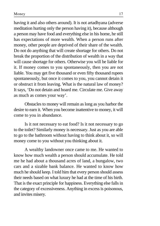having it and also others around). It is not artadhyana (adverse meditation hurting only the person having it), because although a person may have food and everything else in his home, he still has expectations of more wealth. When a person runs after money*,* other people are deprived of their share of the wealth. Do not do anything that will create shortage for others. Do not break the proportion of the distribution of wealth in a way that will cause shortage for others. Otherwise you will be liable for it. If money comes to you spontaneously, then you are not liable. You may get five thousand or even fifty thousand rupees spontaneously, but once it comes to you, you cannot detain it or obstruct it from leaving. What is the natural law of money? It says, 'Do not detain and hoard me. Circulate me. Give away as much as comes your way'.

Obstacles to money will remain as long as you harbor the desire to earn it. When you become inattentive to money, it will come to you in abundance.

Is it not necessary to eat food? Is it not necessary to go to the toilet? Similarly money is necessary. Just as you are able to go to the bathroom without having to think about it, so will money come to you without you thinking about it.

A wealthy landowner once came to me. He wanted to know how much wealth a person should accumulate. He told me he had about a thousand acres of land, a bungalow, two cars and a sizable bank balance. He wanted to know how much he should keep. I told him that every person should assess their needs based on what luxury he had at the time of his birth. That is the exact principle for happiness. Everything else falls in the category of excessiveness. Anything in excess is poisonous, and invites misery.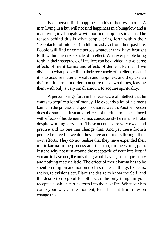Each person finds happiness in his or her own home. A man living in a hut will not find happiness in a bungalow and a man living in a bungalow will not find happiness in a hut. The reason behind this is what people bring forth within their 'receptacle' of intellect (buddhi no ashay) from their past life. People will find or come across whatever they have brought forth within their receptacle of intellect. Whatever people bring forth in their receptacle of intellect can be divided in two parts: effects of merit karma and effects of demerit karma. If we divide up what people fill in their receptacle of intellect, most of it is to acquire material wealth and happiness and they use up their merit karma in order to acquire these two things, leaving them with only a very small amount to acquire spirituality.

A person brings forth in his receptacle of intellect that he wants to acquire a lot of money. He expends a lot of his merit karma in the process and gets his desired wealth. Another person does the same but instead of effects of merit karma, he is faced with effects of his demerit karma, consequently he remains broke despite working very hard. These accounts are very exact and precise and no one can change that. And yet these foolish people believe the wealth they have acquired is through their own efforts. They do not realize that they have expended their merit karma in the process and that too, on the wrong path. Instead why not turn around the receptacle of your intellect; if you are to have one, the only thing worth having in it is spirituality and nothing materialistic. The effect of merit karma has to be spent on religion and not on useless material things like cars, radios, televisions etc. Place the desire to know the Self, and the desire to do good for others, as the only things in your receptacle, which carries forth into the next life. Whatever has come your way at the moment, let it be, but from now on change this.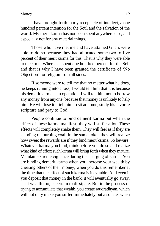I have brought forth in my receptacle of intellect, a one hundred percent intention for the Soul and the salvation of the world. My merit karma has not been spent anywhere else, and especially not for any material things.

Those who have met me and have attained Gnan, were able to do so because they had allocated some two to five percent of their merit karma for this. That is why they were able to meet me. Whereas I spent one hundred percent for the Self and that is why I have been granted the certificate of 'No Objection' for religion from all sides.

If someone were to tell me that no matter what he does, he keeps running into a loss, I would tell him that it is because his demerit karma is in operation. I will tell him not to borrow any money from anyone, because that money is unlikely to help him. He will lose it. I tell him to sit at home, study his favorite scripture and pray to God.

People continue to bind demerit karma but when the effect of these karma manifest, they will suffer a lot. These effects will completely shake them. They will feel as if they are standing on burning coal. In the same token they will realize how sweet the rewards are if they bind merit karma. So beware! Whatever karma you bind, think before you do so and realize what kind of effect such karma will bring forth when they mature. Maintain extreme vigilance during the charging of karma. You are binding demerit karma when you increase your wealth by cheating others of their money; when you do this remember at the time that the effect of such karma is inevitable. And even if you deposit that money in the bank, it will eventually go away. That wealth too, is certain to dissipate. But in the process of trying to accumulate that wealth, you create raudradhyan, which will not only make you suffer immediately but also later when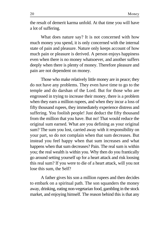the result of demerit karma unfold. At that time you will have a lot of suffering.

What does nature say? It is not concerned with how much money you spend, it is only concerned with the internal state of pain and pleasure. Nature only keeps account of how much pain or pleasure is derived. A person enjoys happiness even when there is no money whatsoever, and another suffers deeply when there is plenty of money. Therefore pleasure and pain are not dependent on money.

Those who make relatively little money are in peace; they do not have any problems. They even have time to go to the temple and do darshan of the Lord. But for those who are engrossed in trying to increase their money, there is a problem when they earn a million rupees, and when they incur a loss of fifty thousand rupees, they immediately experience distress and suffering. You foolish people! Just deduct the fifty thousand from the million that you have. But no! That would reduce the original sum earned. What are you defining as your original sum? The sum you lost, carried away with it responsibility on your part, so do not complain when that sum decreases. But instead you feel happy when that sum increases and what happens when that sum decreases? Pain. The real sum is within you; the real wealth is within you. Why then do you frantically go around setting yourself up for a heart attack and risk loosing this real sum? If you were to die of a heart attack, will you not lose this sum, the Self?

A father gives his son a million rupees and then decides to embark on a spiritual path. The son squanders the money away, drinking, eating non-vegetarian food, gambling in the stock market, and enjoying himself. The reason behind this is that any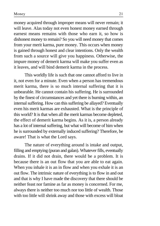money acquired through improper means will never remain; it will leave. Alas today not even honest money earned through earnest means remains with those who earn it, so how is dishonest money to remain? So you will need money that comes from your merit karma, pure money. This occurs when money is gained through honest and clear intentions. Only the wealth from such a source will give you happiness. Otherwise, the impure money of demerit karma will make you suffer even as it leaves, and will bind demerit karma in the process.

This worldly life is such that one cannot afford to live in it, not even for a minute. Even when a person has tremendous merit karma, there is so much internal suffering that it is unbearable. He cannot contain his suffering. He is surrounded by the finest of circumstances and yet there is burning within, an internal suffering. How can this suffering be allayed? Eventually even his merit karmas are exhausted. What is the principle of this world? It is that when all the merit karmas become depleted, the effect of demerit karma begins. As it is, a person already has a lot of internal suffering, but what will become of him when he is surrounded by externally induced suffering? Therefore, be aware! That is what the Lord says.

The nature of everything around is intake and output, filling and emptying (puran and galan). Whatever fills, eventually drains. If it did not drain, there would be a problem. It is because there is an out flow that you are able to eat again. When you inhale it is an in flow and when you exhale it is an out flow. The intrinsic nature of everything is to flow in and out and that is why I have made the discovery that there should be neither feast nor famine as far as money is concerned. For me, always there is neither too much nor too little of wealth. Those with too little will shrink away and those with excess will bloat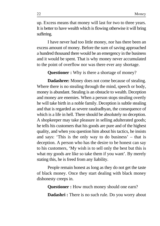up. Excess means that money will last for two to three years. It is better to have wealth which is flowing otherwise it will bring suffering.

I have never had too little money, nor has there been an excess amount of money. Before the sum of saving approached a hundred thousand there would be an emergency in the business and it would be spent. That is why money never accumulated to the point of overflow nor was there ever any shortage.

**Questioner :** Why is there a shortage of money?

**Dadashree:** Money does not come because of stealing. Where there is no stealing through the mind, speech or body, money is abundant. Stealing is an obstacle to wealth. Deception and money are enemies. When a person stops stealing overtly he will take birth in a noble family. Deception is subtle stealing and that is regarded as severe raudradhyan, the consequence of which is a life in hell. There should be absolutely no deception. A shopkeeper may take pleasure in selling adulterated goods; he tells his customers that his goods are pure and of the highest quality, and when you question him about his tactics, he insists and says: 'This is the only way to do business' – that is deception. A person who has the desire to be honest can say to his customers, 'My wish is to sell only the best but this is what my goods are like so take them if you want'. By merely stating this, he is freed from any liability.

People remain honest as long as they do not get the taste of black money. Once they start dealing with black money dishonesty creeps in.

**Questioner :** How much money should one earn?

**Dadashri :** There is no such rule. Do you worry about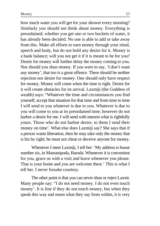how much water you will get for your shower every morning? Similarly you should not think about money. Everything is preordained; whether you get one or two buckets of water, it has already been decided. No one is able to add or take away from this. Make all efforts to earn money through your mind, speech and body, but do not hold any desire for it. Money is a bank balance; will you not get it if it is meant to be for you? Desire for money will further delay the money coming to you. Nor should you shun money. If you were to say, 'I don't want any money', that too is a great offence. There should be neither rejection nor desire for money. One should only have respect for money. Money will come when the time is right. Desire for it will create obstacles for its arrival. Laxmiji (the Goddess of wealth) says: "Whatever the time and circumstances you find yourself, accept that situation for that time and from time to time I will send to you whatever is due to you. Whatever is due to you will come to you at its preordained time; however do not harbor a desire for me. I will send with interest what is rightfully yours. Those who do not harbor desire, to them I send their money on time'. What else does Laxmiji say? She says that if a person wants liberation, then he may take only the money that is his by right; he must not cheat or deceive anyone for money.

Whenever I meet Laxmiji, I tell her: 'My address is house number six, in Mamanipoda, Baroda. Whenever it is convenient for you, grace us with a visit and leave whenever you please. That is your home and you are welcome there.' This is what I tell her. I never forsake courtesy.

The other point is that you can never shun or reject Laxmi. Many people say: "I do not need money. I do not even touch money'. It is fine if they do not touch money, but when they speak this way and mean what they say from within, it is very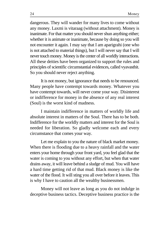dangerous. They will wander for many lives to come without any money. Laxmi is vitaraag (without attachment). Money is inanimate. For that matter you should never shun anything either; whether it is animate or inanimate, because by doing so you will not encounter it again. I may say that I am aparigrahi (one who is not attached to material things), but I will never say that I will never touch money. Money is the center of all worldly interactions. All these deities have been organized to support the rules and principles of scientific circumstantial evidences, called vyavasthit. So you should never reject anything.

It is not money, but ignorance that needs to be renounced. Many people have contempt towards money. Whatever you have contempt towards, will never come your way. Disinterest or indifference for money in the absence of any real interest (Soul) is the worst kind of madness.

I maintain indifference in matters of worldly life and absolute interest in matters of the Soul. There has to be both. Indifference for the worldly matters and interest for the Soul is needed for liberation. So gladly welcome each and every circumstance that comes your way.

Let me explain to you the nature of black market money. When there is flooding due to a heavy rainfall and the water enters your home through your front yard, you feel glad that the water is coming to you without any effort, but when that water drains away, it will leave behind a sludge of mud. You will have a hard time getting rid of that mud. Black money is like the water of the flood. It will sting you all over before it leaves. This is why I have to caution all the wealthy businessmen.

Money will not leave as long as you do not indulge in deceptive business tactics. Deceptive business practice is the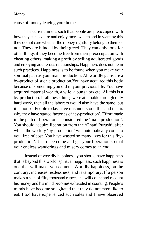cause of money leaving your home.

The current time is such that people are preoccupied with how they can acquire and enjoy more wealth and in wanting this they do not care whether the money rightfully belong to them or not. They are blinded by their greed. They can only look for other things if they become free from their preoccupation with cheating others, making a profit by selling adulterated goods and enjoying adulterous relationships. Happiness does not lie in such practices. Happiness is to be found when you make your spiritual path as your main production. All worldly gains are a by-product of such a production.You have acquired this body because of something you did in your previous life. You have acquired material wealth, a wife, a bungalow etc. All this is a by-production. If all these things were attainable through only hard work, then all the laborers would also have the same, but it is not so. People today have misunderstood this and that is why they have started factories of 'by-production'. Effort made in the path of liberation is considered the 'main production'. You should acquire liberation from the 'Gnani Purush', after which the worldly 'by-production' will automatically come to you, free of cost. You have wasted so many lives for this 'byproduction'. Just once come and get your liberation so that your endless wanderings and misery comes to an end.

Instead of worldly happiness, you should have happiness that is beyond this world, spiritual happiness; such happiness is one that will make you content. Worldly happiness, on the contrary, increases restlessness, and is temporary. If a person makes a sale of fifty thousand rupees, he will count and recount his money and his mind becomes exhausted in counting. People's minds have become so agitated that they do not even like to eat. I too have experienced such sales and I have observed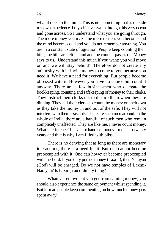what it does to the mind. This is not something that is outside my own experience. I myself have swum through this very ocean and gone across. So I understand what you are going through. The more money you make the more restless you become and the mind becomes dull and you do not remember anything. You are in a constant state of agitation. People keep counting their bills; the bills are left behind and the counter passes on. Money says to us, 'Understand this much if you want: you will move on and we will stay behind'. Therefore do not create any animosity with it. Invite money to come to you because you need it. We have a need for everything. But people become obsessed with it. However you have no choice but count it anyway. There are a few businessmen who delegate the bookkeeping, counting and safekeeping of money to their clerks. They instruct their clerks not to disturb them when they are dinning. They tell their clerks to count the money on their own as they take the money in and out of the safe. They will not interfere with their assistants. There are such men around. In the whole of India, there are a handful of such men who remain completely unaffected. They are like me. I never count money. What interference! I have not handled money for the last twenty years and that is why I am filled with bliss.

There is no denying that as long as there are monetary interactions, there is a need for it. But one cannot become preoccupied with it. One can however become preoccupied with the Lord. If you only pursue money (Laxmi), then Narayan (God) will be enraged. Do we not have temples of Laxmi-Narayan? Is Laxmiji an ordinary thing?

Whatever enjoyment you get from earning money, you should also experience the same enjoyment whilst spending it. But instead people keep commenting on how much money gets spent away.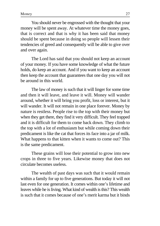You should never be engrossed with the thought that your money will be spent away. At whatever time the money goes, that is correct and that is why it has been said that money should be spent because in doing so people will lessen their tendencies of greed and consequently will be able to give over and over again.

The Lord has said that you should not keep an account of your money. If you have some knowledge of what the future holds, do keep an account. And if you want to keep an account then keep the account that guarantees that one day you will not be around in this world.

The law of money is such that it will linger for some time and then it will leave, and leave it will. Money will wander around, whether it will bring you profit, loss or interest, but it will wander. It will not remain in one place forever. Money by nature is restless. People rise to the top with their money but when they get there, they find it very difficult. They feel trapped and it is difficult for them to come back down. They climb to the top with a lot of enthusiasm but while coming down their predicament is like the cat that forces its face into a jar of milk. What happens to that kitten when it wants to come out? This is the same predicament.

These grains will lose their potential to grow into new crops in three to five years. Likewise money that does not circulate becomes useless.

The wealth of past days was such that it would remain within a family for up to five generations. But today it will not last even for one generation. It comes within one's lifetime and leaves while he is living. What kind of wealth is this? This wealth is such that it comes because of one's merit karma but it binds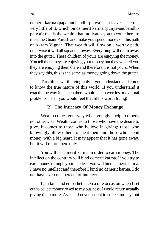demerit karma (papa-anubandhi-punya) as it leaves. There is very little of it, which binds merit karma (punya-anubandhipunya); this is the wealth that motivates you to come here to meet the Gnani Purush and make you spend money on this path of Akram Vignan. That wealth will flow on a worthy path, otherwise it will all squander away. Everything will drain away into the gutter. These children of yours are enjoying the money. You tell them they are enjoying your money but they will tell you they are enjoying their share and therefore it is not yours. When they say this, this is the same as money going down the gutter.

This life is worth living only if you understand and come to know the true nature of this world. If you understand it exactly the way it is, then there would be no worries or external problems. Then you would feel that life is worth living!

### **[2] The Intricacy Of Money Exchange**

Wealth comes your way when you give help to others, not otherwise. Wealth comes to those who have the desire to give. It comes to those who believe in giving; those who knowingly allow others to cheat them and those who spend money with a big heart. It may appear that it has gone away, but it will return there only.

You will need merit karma in order to earn money. The intellect on the contrary will bind demerit karma. If you try to earn money through your intellect, you will bind demerit karma. I have no intellect and therefore I bind no demerit karma. I do not have even one percent of intellect.

I am kind and empathetic. On a rare occasion when I set out to collect money owed to my business, I would return actually giving them more. As such I never set out to collect money, but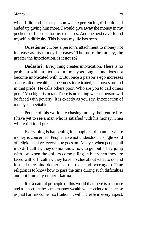when I did and if that person was experiencing difficulties, I ended up giving him more. I would give away the money in my pocket that I needed for my expenses. And the next day I found myself in difficulty. This is how my life has been.

**Questioner :** Does a person's attachment to money not increase as his money increases? The more the money, the greater the intoxication, is it not so?

**Dadashri :** Everything creates intoxication. There is no problem with an increase in money as long as one does not become intoxicated with it. But once a person's ego increases as a result of wealth, he becomes intoxicated, he moves around in that pride! He calls others poor. Who are you to call others poor? You big aristocrat! There is no telling when a person will be faced with poverty. It is exactly as you say. Intoxication of money is inevitable.

People of this world are chasing money their entire life. I have yet to see a man who is satisfied with his money. Then where did it all go?

Everything is happening in a haphazard manner where money is concerned. People have not understood a single word of religion and yet everything goes on. And yet when people fall into difficulties, they do not know how to get out. They jump with joy when the dollars come piling in but when they are faced with difficulties, they have no clue about what to do and instead they bind demerit karma over and over again. True religion is to know how to pass the time during such difficulties and not bind any demerit karma.

It is a natural principle of this world that there is a sunrise and a sunset. In the same manner wealth will continue to increase as past karmas come into fruition. It will increase in every aspect,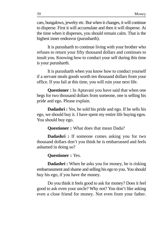cars, bungalows, jewelry etc. But when it changes, it will continue to disperse. First it will accumulate and then it will disperse. At the time when it disperses, you should remain calm. That is the highest inner endeavor (purusharth).

It is purusharth to continue living with your brother who refuses to return your fifty thousand dollars and continues to insult you. Knowing how to conduct your self during this time is your purusharth.

It is purusharth when you know how to conduct yourself if a servant steals goods worth ten thousand dollars from your office. If you fail at this time, you will ruin your next life.

**Questioner :** In Aptavani you have said that when one begs for two thousand dollars from someone, one is selling his pride and ego. Please explain.

**Dadashri :** Yes, he sold his pride and ego. If he sells his ego, we should buy it. I have spent my entire life buying egos. You should buy ego.

**Questioner :** What does that mean Dada?

**Dadashri :** If someone comes asking you for two thousand dollars don't you think he is embarrassed and feels ashamed in doing so?

## **Questioner :** Yes.

**Dadashri** : When he asks you for money, he is risking embarrassment and shame and selling his ego to you. You should buy his ego, if you have the money.

Do you think it feels good to ask for money? Does it feel good to ask even your uncle? Why not? You don't like asking even a close friend for money. Not even from your father.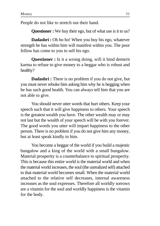People do not like to stretch out their hand.

**Questioner :** We buy their ego, but of what use is it to us?

**Dadashri :** Oh ho ho! When you buy his ego, whatever strength he has within him will manifest within you. The poor fellow has come to you to sell his ego.

**Questioner :** Is it a wrong doing, will it bind demerit karma to refuse to give money to a beggar who is robust and healthy?

**Dadashri :** There is no problem if you do not give, but you must never rebuke him asking him why he is begging when he has such good health. You can always tell him that you are not able to give.

You should never utter words that hurt others. Keep your speech such that it will give happiness to others. Your speech is the greatest wealth you have. The other wealth may or may not last but the wealth of your speech will be with you forever. The good words you utter will impart happiness to the other person. There is no problem if you do not give him any money, but at least speak kindly to him.

You become a beggar of the world if you build a majestic bungalow and a king of the world with a small bungalow. Material prosperity is a counterbalance to spiritual prosperity. This is because this entire world is the material world and when the material world increases, the soul (the unrealized self) attached to that material world becomes small. When the material world attached to the relative self decreases, internal awareness increases as the soul expresses. Therefore all worldly sorrows are a vitamin for the soul and worldly happiness is the vitamin for the body.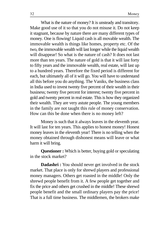What is the nature of money? It is unsteady and transitory. Make good use of it so that you do not misuse it. Do not keep it stagnant, because by nature there are many different types of money. One is flowing! Liquid cash is all movable wealth. The immovable wealth is things like homes, property etc. Of the two, the immovable wealth will last longer while the liquid wealth will disappear! So what is the nature of cash? It does not last more than ten years. The nature of gold is that it will last forty to fifty years and the immovable wealth, real estate, will last up to a hundred years. Therefore the fixed period is different for each, but ultimately all of it will go. You will have to understand all this before you do anything. The Vaniks, the business class in India used to invest twenty five percent of their wealth in their business; twenty five percent for interest; twenty five percent in gold and twenty percent in real estate. This is how they organized their wealth. They are very astute people. The young members in the family are not taught this rule of money conservation. How can this be done when there is no money left?

Money is such that it always leaves in the eleventh year. It will last for ten years. This applies to honest money! Honest money leaves in the eleventh year! There is no telling when the money obtained through dishonest means will leave or what harm it will bring.

**Questioner :** Which is better, buying gold or speculating in the stock market?

**Dadashri** : You should never get involved in the stock market. That place is only for shrewd players and professional money managers. Others get roasted in the middle! Only the shrewd people benefit from it. A few people get together and fix the price and others get crushed in the middle! These shrewd people benefit and the small ordinary players pay the price! That is a full time business. The middlemen, the brokers make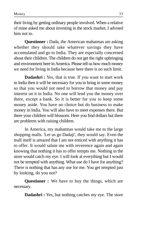their living by getting ordinary people involved. When a relative of mine asked me about investing in the stock market, I advised him not to.

**Questioner :** Dada, the American mahatmas are asking whether they should take whatever savings they have accumulated and go to India. They are especially concerned about their children. The children do not get the right upbringing and environment here in America. Please tell us how much money we need for living in India because here there is no such limit.

**Dadashri :** Yes, that is true. If you want to start work in India then it will be necessary for you to bring in some money so that you would not need to borrow that money and pay interest on it in India. No one will lend you the money over there, except a bank. So it is better for you to keep some money aside. You have no choice but do business to make money in India. You will also have to meet expenses there. But there your children will blossom. Here you find dollars but there are problems with raising children.

In America, my mahatmas would take me to the large shopping malls. 'Let us go Dadaji', they would say. Even the mall itself is amazed that I am not enticed with anything it has to offer. It would salute me with reverence again and again knowing that nothing it has to offer tempts me. Nothing in the store would catch my eye. I will look at everything but I would not be tempted with anything. What use do I have for anything? There is nothing that has any use for me. You get tempted just by looking, do you not?

**Questioner :** We have to buy the things, which are necessary.

**Dadashri** : Yes, but nothing catches my eye. The store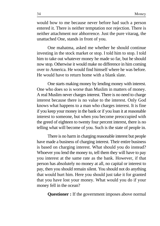would bow to me because never before had such a person entered it. There is neither temptation nor rejection. There is neither attachment nor abhorrence. Just the pure vitarag, the unattached One, stands in front of you.

One mahatma, asked me whether he should continue investing in the stock market or stop. I told him to stop. I told him to take out whatever money he made so far, but he should now stop. Otherwise it would make no difference in him coming over to America. He would find himself where he was before. He would have to return home with a blank slate.

One starts making money by lending money with interest. One who does so is worse than Muslim in matters of money. A real Muslim never charges interest. There is no need to charge interest because there is no value to the interest. Only God knows what happens to a man who charges interest. It is fine if you keep your money in the bank or if you loan it at reasonable interest to someone, but when you become preoccupied with the greed of eighteen to twenty four percent interest, there is no telling what will become of you. Such is the state of people in*.*

There is no harm in charging reasonable interest but people have made a business of charging interest. Their entire business is based on charging interest. What should you do instead? Whoever you lend the money to, tell them they will have to pay you interest at the same rate as the bank. However, if that person has absolutely no money at all, no capital or interest to pay, then you should remain silent. You should not do anything that would hurt him. Here you should just take it for granted that you have lost your money. What would you do if your money fell in the ocean?

**Questioner :** If the government imposes above normal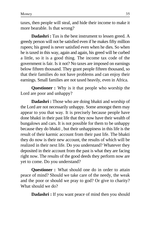taxes, then people will steal, and hide their income to make it more bearable. Is that wrong?

**Dadashri :** Tax is the best instrument to lessen greed. A greedy person will not be satisfied even if he makes fifty million rupees; his greed is never satisfied even when he dies. So when he is taxed in this way, again and again, his greed will be curbed a little, so it is a good thing. The income tax code of the government is fair. Is it not? No taxes are imposed on earnings below fifteen thousand. They grant people fifteen thousand, so that their families do not have problems and can enjoy their earnings. Small families are not taxed heavily, even in Africa.

**Questioner :** Why is it that people who worship the Lord are poor and unhappy?

**Dadashri :** Those who are doing bhakti and worship of the Lord are not necessarily unhappy. Some amongst them may appear to you that way. It is precisely because people have done bhakti in their past life that they now have their wealth of bungalows and cars. It is not possible for them to be unhappy because they do bhakti , but their unhappiness in this life is the result of their karmic account from their past life. The bhakti they do now is their new account, the results of which will be realized in their next life. Do you understand? Whatever they deposited in their account from the past is what they are facing right now. The results of the good deeds they perform now are yet to come. Do you understand?

**Questioner :** What should one do in order to attain peace of mind? Should we take care of the needy, the weak and the poor or should we pray to god? Or give to charity? What should we do?

**Dadashri :** If you want peace of mind then you should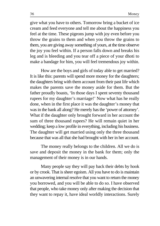give what you have to others. Tomorrow bring a bucket of ice cream and feed everyone and tell me about the happiness you feel at the time. These pigeons jump with joy even before you throw the grains to them and when you throw the grains to them, you are giving away something of yours, at the time observe the joy you feel within. If a person falls down and breaks his leg and is bleeding and you tear off a piece of your dhoti to make a bandage for him, you will feel tremendous joy within.

How are the boys and girls of today able to get married? It is like this: parents will spend more money for the daughters; the daughters bring with them account from their past life which makes the parents save the money aside for them. But the father proudly boasts, 'In those days I spent seventy thousand rupees for my daughter's marriage!' Now what has he really done, when in the first place it was the daughter's money that was in the bank all along? He merely has the 'power of attorney'. What if the daughter only brought forward in her account the sum of three thousand rupees? He will remain quiet in her wedding; keep a low profile in everything, including his business. The daughter will get married using only the three thousand because that was all that she had brought with her in her account.

The money really belongs to the children. All we do is save and deposit the money in the bank for them; only the management of their money is in our hands.

Many people say they will pay back their debts by hook or by crook. That is sheer egoism. All you have to do is maintain an unwavering internal resolve that you want to return the money you borrowed, and you will be able to do so. I have observed that people, who take money only after making the decision that they want to repay it, have ideal worldly interactions. Surely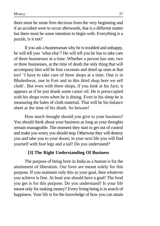there must be some firm decision from the very beginning and if an accident were to occur afterwards, that is a different matter but there must be some intention to begin with. Everything is a puzzle, is it not?

If you ask a businessman why he is troubled and unhappy, he will tell you 'what else'? He will tell you he has to take care of three businesses at a time. Whether a person has one, two or three businesses, at the time of death the only thing that will accompany him will be four coconuts and dried up ones at that too! 'I have to take care of three shops at a time. One is in Bhuleshwar, one in Fort and in this third shop here we sell cloth'. But even with three shops, if you look at his face, it appears as if he just drank some castor oil. He is preoccupied with his shops even when he is dining. Even in his sleep he is measuring the bales of cloth material. That will be his balance sheet at the time of his death. So beware!

How much thought should you give to your business? You should think about your business as long as your thoughts remain manageable. The moment they start to get out of control and make you worry you should stop. Otherwise they will destroy you and take you to your doom; in your next life you will find yourself with four legs and a tail! Do you understand?

#### **[3] The Right Understanding Of Business**

The purpose of being born in India as a human is for the attainment of liberation. Our lives are meant solely for this purpose. If you maintain only this as your goal, then whatever you achieve is fine. At least you should have a goal! The food you get is for this purpose. Do you understand? Is your life meant only for making money? Every living being is in search of happiness. Your life is for the knowledge of how you can attain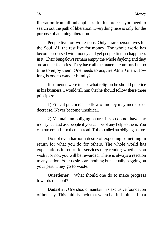liberation from all unhappiness. In this process you need to search out the path of liberation. Everything here is only for the purpose of attaining liberation.

People live for two reasons. Only a rare person lives for the Soul. All the rest live for money. The whole world has become obsessed with money and yet people find no happiness in it! Their bungalows remain empty the whole daylong and they are at their factories. They have all the material comforts but no time to enjoy them. One needs to acquire Atma Gnan. How long is one to wander blindly?

If someone were to ask what religion he should practice in his business, I would tell him that he should follow these three principles:

1) Ethical practice! The flow of money may increase or decrease. Never become unethical.

2) Maintain an obliging nature. If you do not have any money, at least ask people if you can be of any help to them. You can run errands for them instead. This is called an obliging nature.

Do not even harbor a desire of expecting something in return for what you do for others. The whole world has expectations in return for services they render; whether you wish it or not, you will be rewarded. There is always a reaction to any action. Your desires are nothing but actually begging on your part. They go to waste.

**Questioner :** What should one do to make progress towards the soul?

**Dadashri :** One should maintain his exclusive foundation of honesty. This faith is such that when he finds himself in a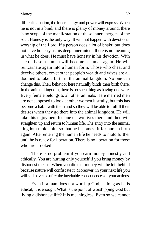difficult situation, the inner energy and power will express. When he is not in a bind, and there is plenty of money around, there is no scope of the manifestation of these inner energies of the soul. Honesty is the only way. It will not happen with devotional worship of the Lord. If a person does a lot of bhakti but does not have honesty as his deep inner intent, there is no meaning in what he does. He must have honesty in his devotion. With such a base a human will become a human again. He will reincarnate again into a human form. Those who cheat and deceive others, covet other people's wealth and wives are all doomed to take a birth in the animal kingdom. No one can change this. Their behavior here naturally binds their birth there. In the animal kingdom, there is no such thing as having one wife. Every female belongs to all other animals. Here married men are not supposed to look at other women lustfully, but this has become a habit with them and so they will be able to fulfill their desires when they go there into the animal kingdom. He will take this enjoyment for one or two lives there and then will straighten up and return to human life. The entry into the animal kingdom molds him so that he becomes fit for human birth again. After entering the human life he needs to mold further until he is ready for liberation. There is no liberation for those who are crooked!

There is no problem if you earn money honestly and ethically. You are hurting only yourself if you bring money by dishonest means. When you die that money will be left behind because nature will confiscate it. Moreover, in your next life you will still have to suffer the inevitable consequences of your actions.

Even if a man does not worship God, as long as he is ethical, it is enough. What is the point of worshipping God but living a dishonest life? It is meaningless. Even so we cannot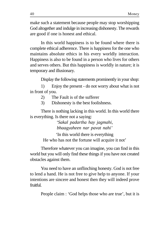make such a statement because people may stop worshipping God altogether and indulge in increasing dishonesty. The rewards are good if one is honest and ethical.

In this world happiness is to be found where there is complete ethical adherence. There is happiness for the one who maintains absolute ethics in his every worldly interaction. Happiness is also to be found in a person who lives for others and serves others. But this happiness is worldly in nature; it is temporary and illusionary.

Display the following statements prominently in your shop:

1) Enjoy the present - do not worry about what is not in front of you.

- 2) The Fault is of the sufferer
- 3) Dishonesty is the best foolishness.

There is nothing lacking in this world. In this world there is everything. Is there not a saying:

> *'Sakal padartha hay jagmahi, bhaagyaheen nar pavat nahi'*

'In this world there is everything He who has not the fortune will acquire it not'

Therefore whatever you can imagine, you can find in this world but you will only find these things if you have not created obstacles against them.

You need to have an unflinching honesty. God is not free to lend a hand. He is not free to give help to anyone. If your intentions are sincere and honest then they will indeed prove fruitful.

People claim : 'God helps those who are true', but it is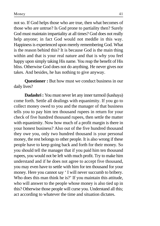not so. If God helps those who are true, then what becomes of those who are untrue? Is God prone to partiality then? Surely God must maintain impartiality at all times? God does not really help anyone; in fact God would not meddle in this way. Happiness is experienced upon merely remembering God. What is the reason behind this? It is because God is the main thing within and that is your real nature and that is why you feel happy upon simply taking His name. You reap the benefit of His bliss. Otherwise God does not do anything. He never gives nor takes. And besides, he has nothing to give anyway.

**Questioner :** But how must we conduct business in our daily lives?

**Dadashri :** You must never let any inner turmoil (kashaya) come forth. Settle all dealings with equanimity. If you go to collect money owed to you and the manager of that business tells you to pay him ten thousand rupees in return for your check of five hundred thousand rupees, then settle the matter with equanimity. Now how much of a profit margin is there in your honest business? Also out of the five hundred thousand they owe you, only two hundred thousand is your personal money, the rest belongs to other people. It is also wrong if these people have to keep going back and forth for their money. So you should tell the manager that if you paid him ten thousand rupees, you would not be left with much profit. Try to make him understand and if he does not agree to accept five thousand, you may even have to settle with him for ten thousand for your money. Here you cannot say ' I will never succumb to bribery. Who does this man think he is?' If you maintain this attitude, who will answer to the people whose money is also tied up in this? Otherwise those people will curse you. Understand all this; act according to whatever the time and situation dictates.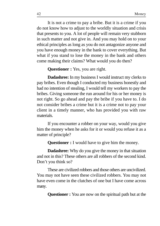It is not a crime to pay a bribe. But it is a crime if you do not know how to adjust to the worldly situation and crisis that presents to you. A lot of people will remain very stubborn in such matter and not give in. And you may hold on to your ethical principles as long as you do not antagonize anyone and you have enough money in the bank to cover everything. But what if you stand to lose the money in the bank and others come making their claims? What would you do then?

**Questioner :** Yes, you are right.

**Dadashree:** In my business I would instruct my clerks to pay bribes. Even though I conducted my business honestly and had no intention of stealing, I would tell my workers to pay the bribes. Giving someone the run around for his or her money is not right. So go ahead and pay the bribe if you have to. I do not consider bribes a crime but it is a crime not to pay your client in a timely manner, who has provided you with raw materials.

If you encounter a robber on your way, would you give him the money when he asks for it or would you refuse it as a matter of principle?

**Questioner :** I would have to give him the money.

**Dadashree:** Why do you give the money in that situation and not in this? These others are all robbers of the second kind. Don't you think so?

These are civilized robbers and those others are uncivilized. You may not have seen these civilized robbers. You may not have even come in the clutches of one but I have come across many.

**Questioner :** You are now on the spiritual path but at the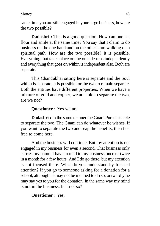same time you are still engaged in your large business, how are the two possible?

**Dadashri :** This is a good question. How can one eat flour and smile at the same time? You say that I claim to do business on the one hand and on the other I am walking on a spiritual path. How are the two possible? It is possible. Everything that takes place on the outside runs independently and everything that goes on within is independent also. Both are separate.

This Chandubhai sitting here is separate and the Soul within is separate. It is possible for the two to remain separate. Both the entities have different properties. When we have a mixture of gold and copper, we are able to separate the two, are we not?

## **Questioner :** Yes we are.

**Dadashri :** In the same manner the Gnani Purush is able to separate the two. The Gnani can do whatever he wishes. If you want to separate the two and reap the benefits, then feel free to come here.

And the business will continue. But my attention is not engaged in my business for even a second. That business only carries my name. I have to tend to my business once or twice in a month for a few hours. And I do go there, but my attention is not focused there. What do you understand by focused attention? If you go to someone asking for a donation for a school, although he may not be inclined to do so, outwardly he may say yes to you for the donation. In the same way my mind is not in the business. Is it not so?

# **Questioner :** Yes.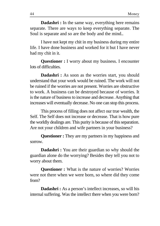**Dadashri :** In the same way, everything here remains separate. There are ways to keep everything separate. The Soul is separate and so are the body and the mind.*.*

I have not kept my chit in my business during my entire life. I have done business and worked for it but I have never had my chit in it.

**Questioner :** I worry about my business. I encounter lots of difficulties.

**Dadashri :** As soon as the worries start, you should understand that your work would be ruined. The work will not be ruined if the worries are not present. Worries are obstructive to work. A business can be destroyed because of worries. It is the nature of business to increase and decrease. Anything that increases will eventually decrease. No one can stop this process.

This process of filling does not affect our true wealth, the Self. The Self does not increase or decrease. That is how pure the worldly dealings are. This purity is because of this separation. Are not your children and wife partners in your business?

**Questioner :** They are my partners in my happiness and sorrow.

**Dadashri :** You are their guardian so why should the guardian alone do the worrying? Besides they tell you not to worry about them.

**Questioner :** What is the nature of worries? Worries were not there when we were born, so where did they come from?

**Dadashri :** As a person's intellect increases, so will his internal suffering. Was the intellect there when you were born?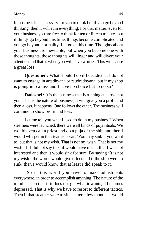In business it is necessary for you to think but if you go beyond thinking, then it will ruin everything. For that matter, even for your business you are free to think for ten or fifteen minutes but if things go beyond this time, things become complicated and you go beyond normality. Let go at this time. Thoughts about your business are inevitable, but when you become one with those thoughts, those thoughts will linger and will divert your attention and that is when you will have worries. This will cause a great loss.

**Questioner :** What should I do if I decide that I do not want to engage in artadhyana or raudradhyana, but if my shop is going into a loss and I have no choice but to do so?

**Dadashri :** It is the business that is running at a loss, not you. That is the nature of business; it will give you a profit and then a loss. It happens. One follows the other. The business will continue to show profit and loss.

Let me tell you what I used to do in my business? When steamers were launched, there were all kinds of puja rituals. We would even call a priest and do a puja of the ship and then I would whisper in the steamer's ear, 'You may sink if you want to, but that is not my wish. That is not my wish. That is not my wish.' If I did not say this, it would have meant that I was not interested and then it would sink for sure. By saying 'It is not my wish', the words would give effect and if the ship were to sink, then I would know that at least I did speak to it.

 So in this world you have to make adjustments everywhere, in order to accomplish anything. The nature of the mind is such that if it does not get what it wants, it becomes depressed. That is why we have to resort to different tactics. Then if that steamer were to sinks after a few months, I would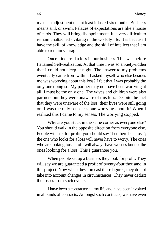make an adjustment that at least it lasted six months. Business means sink or swim. Palaces of expectations are like a house of cards. They will bring disappointment. It is very difficult to remain unattached - vitarag in the worldly life. It is because I have the skill of knowledge and the skill of intellect that I am able to remain vitarag.

Once I incurred a loss in our business. This was before I attained Self-realization*.* At that time I was so anxiety-ridden that I could not sleep at night. The answer to my problems eventually came from within. I asked myself who else besides me was worrying about this loss? I felt that I was probably the only one doing so. My partner may not have been worrying at all; I must be the only one. The wives and children were also partners but they were unaware of this loss. Despite the fact that they were unaware of the loss, their lives were still going on. I was the only senseless one worrying about it! When I realized this I came to my senses. The worrying stopped.

Why are you stuck in the same corner as everyone else? You should walk in the opposite direction from everyone else. People will ask for profit, you should say 'Let there be a loss'; the one who looks for a loss will never have to worry. The ones who are looking for a profit will always have worries but not the ones looking for a loss. This I guarantee you.

When people set up a business they look for profit. They will say we are guaranteed a profit of twenty-four thousand in this project. Now when they forecast these figures, they do not take into account changes in circumstances. They never deduct the losses from such events.

I have been a contractor all my life and have been involved in all kinds of contracts. Amongst such contracts, we have even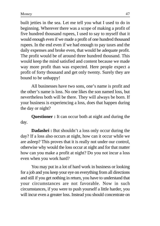built jetties in the sea. Let me tell you what I used to do in beginning. Wherever there was a scope of making a profit of five hundred thousand rupees, I used to say to myself that it would enough even if we made a profit of one hundred thousand rupees. In the end even if we had enough to pay taxes and the daily expenses and broke even, that would be adequate profit. The profit would be of around three hundred thousand. This would keep the mind satisfied and content because we made way more profit than was expected. Here people expect a profit of forty thousand and get only twenty. Surely they are bound to be unhappy!

All businesses have two sons, one's name is profit and the other's name is loss. No one likes the son named loss, but nevertheless both will be there. They will always be born. If your business is experiencing a loss, does that happen during the day or night?

**Questioner :** It can occur both at night and during the day.

**Dadashri :** But shouldn't a loss only occur during the day? If a loss also occurs at night, how can it occur while we are asleep? This proves that it is really not under our control, otherwise why would the loss occur at night and for that matter how can you make a profit at night? Do you not incur a loss even when you work hard?

You may put in a lot of hard work in business or looking for a job and you keep your eye on everything from all directions and still if you get nothing in return, you have to understand that your circumstances are not favorable. Now in such circumstances, if you were to push yourself a little harder, you will incur even a greater loss. Instead you should concentrate on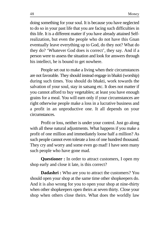doing something for your soul. It is because you have neglected to do so in your past life that you are facing such difficulties in this life. It is a different matter if you have already attained Selfrealization, but even the people who do not have this Gnan eventually leave everything up to God, do they not? What do they do? 'Whatever God does is correct', they say. And if a person were to assess the situation and look for answers through his intellect, he is bound to get nowhere.

People set out to make a living when their circumstances are not favorable. They should instead engage in bhakti (worship) during such times. You should do bhakti, work towards the salvation of your soul, stay in satsang etc. It does not matter if you cannot afford to buy vegetables; at least you have enough grains for a meal. You will earn only if your circumstances are right otherwise people make a loss in a lucrative business and a profit in an unproductive one. It all depends on your circumstances.

Profit or loss, neither is under your control. Just go along with all these natural adjustments. What happens if you make a profit of one million and immediately loose half a million? As such people cannot even tolerate a loss of one hundred thousand. They cry and worry and some even go mad! I have seen many such people who have gone mad.

**Questioner :** In order to attract customers, I open my shop early and close it late, is this correct?

**Dadashri :** Who are you to attract the customers? You should open your shop at the same time other shopkeepers do. And it is also wrong for you to open your shop at nine-thirty when other shopkeepers open theirs at seven thirty. Close your shop when others close theirs. What does the worldly law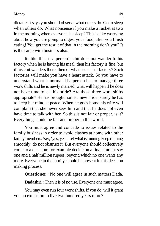dictate? It says you should observe what others do. Go to sleep when others do. What nonsense if you make a racket at two in the morning when everyone is asleep? This is like worrying about how you are going to digest your food, after you finish eating! You get the result of that in the morning don't you? It is the same with business also.

Its like this: if a person's chit does not wander to his factory when he is having his meal, then his factory is fine, but if his chit wanders there, then of what use is that factory? Such factories will make you have a heart attack. So you have to understand what is normal. If a person has to manage three work shifts and he is newly married, what will happen if he does not have time to see his bride? Are those three work shifts appropriate? He has brought home a new bride; surely he has to keep her mind at peace. When he goes home his wife will complain that she never sees him and that he does not even have time to talk with her. So this is not fair or proper, is it? Everything should be fair and proper in this world.

You must agree and concede to issues related to the family business in order to avoid clashes at home with other family members. Say, 'yes, yes'. Let what is running keep running smoothly, do not obstruct it. But everyone should collectively come to a decision: for example decide on a final amount say one and a half million rupees, beyond which no one wants any more. Everyone in the family should be present in this decision making process.

**Questioner :** No one will agree in such matters Dada.

**Dadashri :** Then it is of no use. Everyone one must agree.

You may even run four work shifts. If you do, will it grant you an extension to live two hundred years more?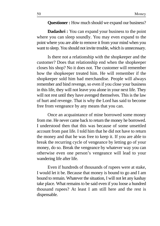#### **Questioner :** How much should we expand our business?

**Dadashri :** You can expand your business to the point where you can sleep soundly. You may even expand to the point where you are able to remove it from your mind when you want to sleep. You should not invite trouble, which is unnecessary.

Is there not a relationship with the shopkeeper and the customer? Does that relationship end when the shopkeeper closes his shop? No it does not. The customer will remember how the shopkeeper treated him. He will remember if the shopkeeper sold him bad merchandise. People will always remember and bind revenge, so even if you close your business in this life, they will not leave you alone in your next life. They will not rest until they have avenged themselves. This is the law of hurt and revenge. That is why the Lord has said to become free from vengeance by any means that you can.

Once an acquaintance of mine borrowed some money from me. He never came back to return the money he borrowed. I understood then that this was because of some unsettled account from past life. I told him that he did not have to return the money and that he was free to keep it. If you are able to break the recurring cycle of vengeance by letting go of your money, do so. Break the vengeance by whatever way you can otherwise even one person's vengeance will lead to your wandering life after life.

Even if hundreds of thousands of rupees were at stake, I would let it be. Because that money is bound to go and I am bound to remain. Whatever the situation, I will not let any kashay take place. What remains to be said even if you loose a hundred thousand rupees? At least I am still here and the rest is dispensable.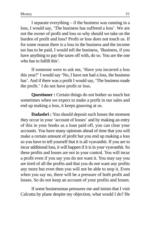I separate everything – if the business was running in a loss, I would say, 'The business has suffered a loss'. We are not the owner of profit and loss so why should we take on the burden of profit and loss? Profit or loss does not touch us. If for some reason there is a loss in the business and the income tax has to be paid, I would tell the business, 'Business, if you have anything to pay the taxes off with, do so. You are the one who has to fulfill this'.

If someone were to ask me, 'Have you incurred a loss this year?' I would say 'No, I have not had a loss, the business has'. And if there was a profit I would say, 'The business made the profit.' I do not have profit or loss.

**Questioner :** Certain things do not bother us much but sometimes when we expect to make a profit in our sales and end up making a loss, it keeps gnawing at us.

**Dadashri :** You should deposit such losses the moment they occur in your 'account of losses' and by making an entry of this in your books as a loan paid off, you can clear your accounts. You have many opinions ahead of time that you will make a certain amount of profit but you end up making a loss so you have to tell yourself that it is all vyavasthit. If you are to incur additional loss, it will happen if it is in your vyavasthit. So these profits and losses are not in your control. You will incur a profit even if you say you do not want it. You may say you are tired of all the profits and that you do not want any profits any more but even then you will not be able to stop it. Even when you say no, there will be a pressure of both profit and losses. So do not keep an account of your profits and losses.

If some businessman pressures me and insists that I visit Calcutta by plane despite my objection, what would I do? He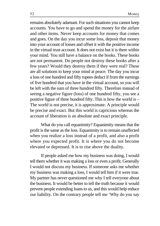remains absolutely adamant. For such situations you cannot keep accounts. You have to go and spend the money for the airfare and other items. Never keep accounts for money that comes and goes. On the day you incur some loss, deposit that money into your account of losses and offset it with the positive income in the virtual trust account. It does not exist but it is there within your mind. You still have a balance on the books. These books are not permanent. Do people not destroy these books after a few years? Would they destroy them if they were real? These are all solutions to keep your mind at peace. The day you incur a loss of one hundred and fifty rupees deduct if from the earnings of five hundred that you have in the virtual account, so you will be left with the sum of three hundred fifty. Therefore instead of seeing a negative figure (loss) of one hundred fifty, you see a positive figure of three hundred fifty. This is how the world is – The world is not precise, it is approximate. A principle would be precise and exact. But this world is capricious whereas the account of liberation is an absolute and exact principle.

What do you call equanimity? Equanimity means that the profit is the same as the loss. Equanimity is to remain unaffected when you realize a loss instead of a profit, and also a profit where you expected profit. It is where you do not become elevated or depressed. It is to rise above the duality.

If people asked me how my business was doing, I would tell them whether it was making a loss or even a profit. Generally I would not discuss my business. If someone asks me whether my business was making a loss, I would tell him if it were true. My partner has never questioned me why I tell everyone about the business. It would be better to tell the truth because it would prevent people extending loans to us, and this would help reduce our liability. On the contrary people tell me 'Why do you say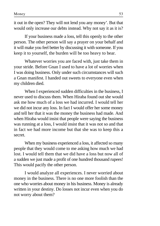it out in the open? They will not lend you any money'. But that would only increase our debts instead. Why not say it as it is?

If your business made a loss, tell this openly to the other person. The other person will say a prayer on your behalf and it will make you feel better by discussing it with someone. If you keep it to yourself, the burden will be too heavy to bear.

Whatever worries you are faced with, just take them in your stride. Before Gnan I used to have a lot of worries when I was doing business. Only under such circumstances will such a Gnan manifest. I handed out sweets to everyone even when my children died.

When I experienced sudden difficulties in the business, I never used to discuss them. When Hiraba found out she would ask me how much of a loss we had incurred. I would tell her we did not incur any loss. In fact I would offer her some money and tell her that it was the money the business had made. And when Hiraba would insist that people were saying the business was running at a loss, I would insist that it was not so and that in fact we had more income but that she was to keep this a secret.

When my business experienced a loss, it affected so many people that they would come to me asking how much we had lost. I would tell them that we did have a loss but now all of a sudden we just made a profit of one hundred thousand rupees! This would pacify the other person.

I would analyze all experiences. I never worried about money in the business. There is no one more foolish than the one who worries about money in his business. Money is already written in your destiny. Do losses not incur even when you do not worry about them?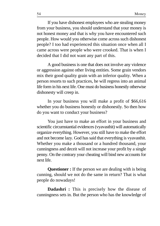If you have dishonest employees who are stealing money from your business, you should understand that your money is not honest money and that is why you have encountered such people. How would you otherwise come across such dishonest people? I too had experienced this situation once when all I came across were people who were crooked. That is when I decided that I did not want any part of this.

A good business is one that does not involve any violence or aggression against other living entities. Some grain vendors mix their good quality grain with an inferior quality. When a person resorts to such practices, he will regress into an animal life form in his next life. One must do business honestly otherwise dishonesty will creep in.

In your business you will make a profit of \$66,616 whether you do business honestly or dishonestly. So then how do you want to conduct your business?

You just have to make an effort in your business and scientific circumstantial evidences (vyavasthit) will automatically organize everything. However, you still have to make the effort and not become lazy. God has said that everything is vyavasthit. Whether you make a thousand or a hundred thousand, your cunningness and deceit will not increase your profit by a single penny. On the contrary your cheating will bind new accounts for next life.

**Questioner :** If the person we are dealing with is being cunning, should we not do the same in return? That is what people do nowadays!

**Dadashri :** This is precisely how the disease of cunningness sets in. But the person who has the knowledge of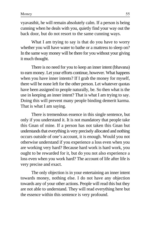vyavasthit, he will remain absolutely calm. If a person is being cunning when he deals with you, quietly find your way out the back door, but do not resort to the same cunning ways.

What I am trying to say is that do you have to worry whether you will have water to bathe or a mattress to sleep on? In the same way money will be there for you without your giving it much thought.

There is no need for you to keep an inner intent (bhavana) to earn money. Let your efforts continue, however. What happens when you have inner intents? If I grab the money for myself, there will be none left for the other person. Let whatever quotas have been assigned to people naturally, be. So then what is the use in keeping an inner intent? That is what I am trying to say. Doing this will prevent many people binding demerit karma. That is what I am saying.

There is tremendous essence in this single sentence, but only if you understand it. It is not mandatory that people take this Gnan of mine. If a person has not taken this Gnan but understands that everything is very precisely allocated and nothing occurs outside of one's account, it is enough. Would you not otherwise understand if you experience a loss even when you are working very hard? Because hard work is hard work, you ought to be rewarded for it, but do you not also experience a loss even when you work hard? The account of life after life is very precise and exact.

The only objection is in your entertaining an inner intent towards money, nothing else. I do not have any objection towards any of your other actions. People will read this but they are not able to understand. They will read everything here but the essence within this sentence is very profound.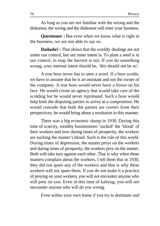As long as you are not familiar with the wrong and the dishonest, the wrong and the dishonest will enter your business.

**Questioner :** But even when we know what is right in the business, we are not able to say so.

**Dadashri :** That shows that the worldly dealings are not under our control, but our inner intent is. To plant a seed is in our control, to reap the harvest is not. If you do something wrong, your internal intent should be, 'this should not be so'.

A true boss never has to utter a word. If a boss scolds, we have to assume that he is an assistant and not the owner of the company. A true boss would never have a frown on his face. He would create an agency that would take care of the scolding but he would never reprimand. Such a boss would help both the disputing parties to arrive at a compromise. He would concede that both the parties are correct from their perspectives; he would bring about a resolution in this manner.

There was a big economic slump in 1930. During this time of scarcity, wealthy businessmen 'sucked' the 'blood' of their workers and now during times of prosperity, the workers are sucking the master's blood. Such is the rule of this world. During times of depression, the master preys on the workers and during times of prosperity, the workers prey on the master. Both will take turn against each other. That is why when these masters complain about the workers, I tell them that in 1930, they did not spare any of the workers and that is why these workers will not spare them. If you do not make it a practice of preying on your workers, you will not encounter anyone who will prey on you. Even in this time of kaliyug, you will not encounter anyone who will do you wrong.

Even within your own home if you try to dominate and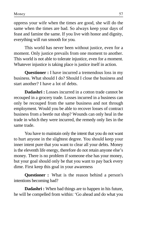oppress your wife when the times are good, she will do the same when the times are bad. So always keep your days of feast and famine the same. If you live with honor and dignity, everything will run smooth for you*.*

This world has never been without justice, even for a moment. Only justice prevails from one moment to another. This world is not able to tolerate injustice, even for a moment. Whatever injustice is taking place is justice itself in action.

**Questioner :** I have incurred a tremendous loss in my business. What should I do? Should I close the business and start another? I have a lot of debts.

**Dadashri :** Losses incurred in a cotton trade cannot be recouped in a grocery trade. Losses incurred in a business can only be recouped from the same business and not through employment. Would you be able to recover losses of contract business from a beetle nut shop? Wounds can only heal in the trade in which they were incurred, the remedy only lies in the same trade.

You have to maintain only the intent that you do not want to hurt anyone in the slightest degree. You should keep your inner intent pure that you want to clear all your debts. Money is the eleventh life energy, therefore do not retain anyone else's money. There is no problem if someone else has your money, but your goal should only be that you want to pay back every dime. First keep this goal in your awareness

**Questioner :** What is the reason behind a person's intentions becoming bad?

**Dadashri :** When bad things are to happen in his future, he will be compelled from within: 'Go ahead and do what you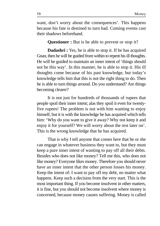want, don't worry about the consequences'. This happens because his fate is destined to turn bad. Coming events cast their shadows beforehand.

**Questioner :** But is he able to prevent or stop it?

**Dadashri**: Yes, he is able to stop it. If he has acquired Gnan, then he will be guided from within to repent his ill thoughts. He will be guided to maintain an inner intent of 'things should not be this way'. In this manner, he is able to stop it. His ill thoughts come because of his past knowledge, but today's knowledge tells him that this is not the right thing to do. Then he is able to turn things around. Do you understand? Are things becoming clearer?

It is not just for hundreds of thousands of rupees that people spoil their inner intent; alas they spoil it even for twentyfive rupees! The problem is not with him wanting to enjoy himself, but it is with the knowledge he has acquired which tells him: 'Why do you want to give it away? Why not keep it and enjoy it for yourself? We will worry about the rest later on'. This is the wrong knowledge that he has acquired.

That is why I tell anyone that comes here that he or she can engage in whatever business they want to, but they must keep a pure inner intent of wanting to pay off all their debts. Besides who does not like money? Tell me this, who does not like money? Everyone likes money. Therefore you should never have an inner intent that the other person losses his money. Keep the intent of: I want to pay off my debt, no matter what happens. Keep such a decision from the very start. This is the most important thing. If you become insolvent in other matters, it is fine, but you should not become insolvent where money is concerned, because money causes suffering. Money is called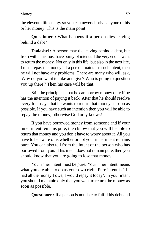the eleventh life energy so you can never deprive anyone of his or her money. This is the main point.

**Questioner :** What happens if a person dies leaving behind a debt?

**Dadashri :** A person may die leaving behind a debt, but from within he must have purity of intent till the very end: 'I want to return the money. Not only in this life, but also in the next life, I must repay the money.' If a person maintains such intent, then he will not have any problems. There are many who will ask, 'Why do you want to take and give? Who is going to question you up there?' Then his case will be that.

Still the principle is that he can borrow money only if he has the intention of paying it back. After that he should resolve every four days that he wants to return that money as soon as possible. If you have such an intention then you will be able to repay the money, otherwise God only knows!

If you have borrowed money from someone and if your inner intent remains pure, then know that you will be able to return that money and you don't have to worry about it. All you have to be aware of is whether or not your inner intent remains pure. You can also tell from the intent of the person who has borrowed from you. If his intent does not remain pure, then you should know that you are going to lose that money.

Your inner intent must be pure. Your inner intent means what you are able to do as your own right. Pure intent is 'If I had all the money I owe, I would repay it today'. In your intent you should maintain only that you want to return the money as soon as possible.

**Questioner :** If a person is not able to fulfill his debt and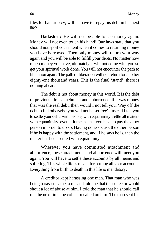files for bankruptcy, will he have to repay his debt in his next life?

**Dadashri**: He will not be able to see money again. Money will not even touch his hand! Our laws state that you should not spoil your intent when it comes to returning money you have borrowed. Then only money will return your way again and you will be able to fulfill your debts. No matter how much money you have, ultimately it will not come with you so get your spiritual work done. You will not encounter the path to liberation again. The path of liberation will not return for another eighty-one thousand years. This is the final 'stand'; there is nothing ahead.

The debt is not about money in this world. It is the debt of previous life's attachment and abhorrence. If it was money that was the real debt, then would I not tell you, 'Pay off the debt in full otherwise you will not be set free'. Instead I tell you to settle your debts with people, with equanimity; settle all matters with equanimity, even if it means that you have to pay the other person in order to do so. Having done so, ask the other person if he is happy with the settlement, and if he says he is, then the matter has been settled with equanimity.

Wherever you have committed attachment and abhorrence, these attachments and abhorrence will meet you again. You will have to settle these accounts by all means and suffering. This whole life is meant for settling all your accounts. Everything from birth to death in this life is mandatory.

A creditor kept harassing one man. That man who was being harassed came to me and told me that the collector would shout a lot of abuse at him. I told the man that he should call me the next time the collector called on him. The man sent his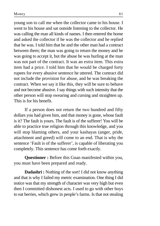young son to call me when the collector came to his house. I went to his house and sat outside listening to the collector. He was calling the man all kinds of names. I then entered the home and asked the collector if he was the collector and he replied that he was. I told him that he and the other man had a contract between them; the man was going to return the money and he was going to accept it, but the abuse he was hurling at the man was not part of the contract. It was an extra item. This extra item had a price. I told him that he would be charged forty rupees for every abusive sentence he uttered. The contract did not include the provision for abuse, and he was breaking the contract. When we say it like this, they will be sure to behave and not become abusive. I say things with such intensity that the other person will stop swearing and cursing and straighten up. This is for his benefit.

If a person does not return the two hundred and fifty dollars you had given him, and that money is gone, whose fault is it? The fault is yours. The fault is of the sufferer! You will be able to practice true religion through this knowledge, and you will stop blaming others, and your kashayas (anger, pride, attachment and greed) will come to an end. That is why the sentence 'Fault is of the sufferer', is capable of liberating you completely. This sentence has come forth exactly.

**Questioner :** Before this Gnan manifested within you, you must have been prepared and ready.

**Dadashri :** Nothing of the sort! I did not know anything and that is why I failed my metric examination. One thing I did notice was that my strength of character was very high but even then I committed dishonest acts. I used to go with other boys to eat berries, which grew in people's farms. Is that not stealing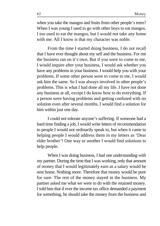when you take the mangos and fruits from other people's trees? When I was young I used to go with other boys to eat mangos. I too used to eat the mangos, but I would not take any home with me. All I know is that my character was noble.

From the time I started doing business, I do not recall that I have ever thought about my self and the business. For me the business ran on it's own. But if you were to come to me, I would inquire after your business, I would ask whether you have any problems in your business. I would help you with your problems. If some other person were to come to me, I would ask him the same. So I was always involved in other people's problems. This is what I had done all my life. I have not done any business at all, except I do know how to do everything. If a person were having problems and getting confused with no solution even after several months, I would find a solution for him within just one day.

I could not tolerate anyone's suffering. If someone had a hard time finding a job, I would write letters of recommendation to people I would not ordinarily speak to, but when it came to helping people I would address them in my letters as 'Dear elder brother'! One way or another I would find solutions to help people.

When I was doing business, I had one understanding with my partner. During the time that I was working, only that amount of money that I would legitimately earn as a salary would be sent home. Nothing more. Therefore that money would be pure for sure. The rest of the money stayed in the business. My partner asked me what we were to do with the retained money. I told him that if ever the income tax office demanded a payment for something, he should take the money from the business and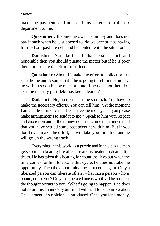make the payment, and not send any letters from the tax department to me.

**Questioner :** If someone owes us money and does not pay it back when he is supposed to, do we accept it as having fulfilled our past life debt and be content with the situation?

**Dadashri :** Not like that. If that person is rich and honorable then you should pursue the matter but if he is poor then don't make the effort to collect.

**Questioner :** Should I make the effort to collect or just sit at home and assume that if he is going to return the money, he will do so on his own accord and if he does not then do I assume that my past debt has been cleared?

**Dadashri :** No, no don't assume so much. You have to make the necessary efforts. You can tell him: 'At the moment I am a little short of cash, if you have the money, can you please make arrangements to send it to me?' Speak to him with respect and discretion and if the money does not come then understand that you have settled some past account with him. But if you don't even make the effort, he will take you for a fool and he will go on the wrong track.

Everything in this world is a puzzle and in this puzzle man gets so much beating life after life and is beaten to death after death. He has taken this beating for countless lives but when the time comes for him to escape this cycle, he does not take the opportunity. Then the opportunity does not come again. Only a liberated person can liberate others; what can a person who is bound, do for you? Only the liberated one is worthy. The moment the thought occurs to you: 'What's going to happen if he does not return my money?' your mind will start to become weaker. The element of suspicion is introduced. Once you lend money,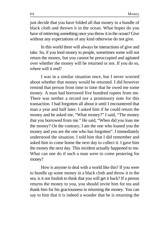just decide that you have folded all that money in a bundle of black cloth and thrown it in the ocean. What hopes do you have of retrieving something once you throw it in the ocean? Give without any expectations of any kind otherwise do not give.

In this world there will always be interactions of give and take. So, if you lend money to people, sometimes some will not return the money, but you cannot be preoccupied and agitated over whether the money will be returned or not. If you do so, where will it end?

I was in a similar situation once, but I never worried about whether that money would be returned. I did however remind that person from time to time that he owed me some money. A man had borrowed five hundred rupees from me. There was neither a record nor a promissory note for this transaction. I had forgotten all about it until I encountered that man a year and half later. I asked him if he could return the money and he asked me, "What money?" I said, "The money that you borrowed from me." He said, "When did you loan me the money? On the contrary, I am the one who loaned you the money and you are the one who has forgotten". I immediately understood the situation. I told him that I did remember and asked him to come home the next day to collect it. I gave him the money the next day. This incident actually happened to me. What can one do if such a man were to come pestering for money?

How is anyone to deal with a world like this? If you were to bundle up some money in a black cloth and throw it in the sea, is it not foolish to think that you will get it back? If a person returns the money to you, you should invite him for tea and thank him for his graciousness in returning the money. You can say to him that it is indeed a wonder that he is returning the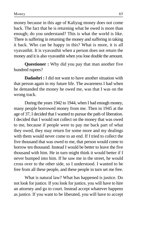money because in this age of Kaliyug money does not come back. The fact that he is returning what he owed is more than enough; do you understand? This is what the world is like. There is suffering in returning the money and suffering in taking it back. Who can be happy in this? What is more, it is all vyavasthit. It is vyavasthit when a person does not return the money and it is also vyavasthit when you lose double the amount.

**Questioner :** Why did you pay that man another five hundred rupees?

**Dadashri :** I did not want to have another situation with that person again in my future life. The awareness I had when he demanded the money he owed me, was that I was on the wrong track.

During the years 1942 to 1944, when I had enough money, many people borrowed money from me. Then in 1945 at the age of 37, I decided that I wanted to pursue the path of liberation. I decided that I would not collect on the money that was owed to me, because if people were to pay me back part of what they owed, they may return for some more and my dealings with them would never come to an end. If I tried to collect the five thousand that was owed to me, that person would come to borrow ten thousand. Instead I would be better to leave the five thousand with him. He in turn might think it would better if I never bumped into him. If he saw me in the street, he would cross over to the other side, so I understood. I wanted to be free from all these people, and these people in turn set me free.

What is natural law? What has happened is justice. Do not look for justice. If you look for justice, you will have to hire an attorney and go to court. Instead accept whatever happens as justice. If you want to be liberated, you will have to accept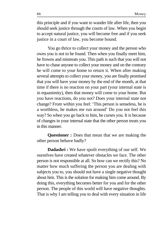this principle and if you want to wander life after life, then you should seek justice through the courts of law. When you begin to accept natural justice, you will become free and if you seek justice in a court of law, you become bound.

You go thrice to collect your money and the person who owes you is not to be found. Then when you finally meet him, he frowns and mistreats you. This path is such that you will not have to chase anyone to collect your money and on the contrary he will come to your home to return it. When after making several attempts to collect your money, you are finally promised that you will have your money by the end of the month, at that time if there is no reaction on your part (your internal state is in equanimity), then that money will come to your home. But you have reactions, do you not? Does your internal state not change? From within you feel: 'This person is senseless, he is a worthless, he makes me run around' Do you not feel this way? So when you go back to him, he curses you. It is because of changes in your internal state that the other person treats you in this manner.

**Questioner :** Does that mean that we are making the other person behave badly?

**Dadashri :** We have spoilt everything of our self. We ourselves have created whatever obstacles we face. The other person is not responsible at all. So how can we rectify this? No matter how much suffering the person you are dealing with subjects you to, you should not have a single negative thought about him. This is the solution for making him come around. By doing this, everything becomes better for you and for the other person. The people of this world will have negative thoughts. That is why I am telling you to deal with every situation in life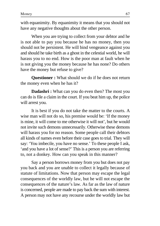with equanimity. By equanimity it means that you should not have any negative thoughts about the other person.

When you are trying to collect from your debtor and he is not able to pay you because he has no money, then you should not be persistent. He will bind vengeance against you and should he take birth as a ghost in the celestial world, he will harass you to no end. How is the poor man at fault when he is not giving you the money because he has none? Do others have the money but refuse to give?

**Questioner :** What should we do if he does not return the money even when he has it?

**Dadashri :** What can you do even then? The most you can do is file a claim in the court. If you beat him up, the police will arrest you.

It is best if you do not take the matter to the courts. A wise man will not do so, his premise would be: 'If the money is mine, it will come to me otherwise it will not', but he would not invite such demons unnecessarily. Otherwise these demons will harass you for no reason. Some people call their debtors all kinds of names even before their case goes to trial. They will say: 'You imbecile, you have no sense.' To these people I ask, 'and you have a lot of sense?' This is a person you are referring to, not a donkey. How can you speak in this manner?

Say a person borrows money from you but does not pay you back and you are unable to collect it legally because of statute of limitations. Now that person may escape the legal consequences of the worldly law, but he will not escape the consequences of the nature's law. As far as the law of nature is concerned, people are made to pay back the sum with interest. A person may not have any recourse under the worldly law but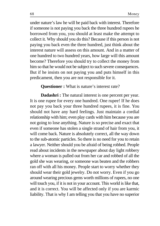under nature's law he will be paid back with interest. Therefore if someone is not paying you back the three hundred rupees he borrowed from you, you should at least make the attempt to collect it. Why should you do this? Because if this person is not paying you back even the three hundred, just think about the interest nature will assess on this amount. And in a matter of one hundred to two hundred years, how large will this amount become? Therefore you should try to collect the money from him so that he would not be subject to such severe consequences. But if he insists on not paying you and puts himself in this predicament, then you are not responsible for it.

**Questioner :** What is nature's interest rate?

**Dadashri :** The natural interest is one percent per year. It is one rupee for every one hundred. One rupee! If he does not pay you back your three hundred rupees, it is fine. You should not have any hard feelings. Just maintain a cordial relationship with him; even play cards with him because you are not going to lose anything. Nature is so precise and exact that even if someone has stolen a single strand of hair from you, it will come back. Nature is absolutely correct, all the way down to the sub-atomic particles. So there is no need for you to retain a lawyer. Neither should you be afraid of being robbed. People read about incidents in the newspaper about day light robbery where a woman is pulled out from her car and robbed of all the gold she was wearing, or someone was beaten and the robbers ran off with all his money. People start to worry whether they should wear their gold jewelry. Do not worry. Even if you go around wearing precious gems worth millions of rupees, no one will touch you, if it is not in your account. This world is like that, and it is correct. You will be affected only if you are karmic liability. That is why I am telling you that you have no superior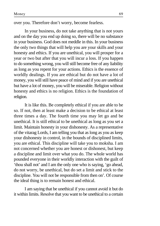over you. Therefore don't worry, become fearless.

In your business, do not take anything that is not yours and on the day you end up doing so, there will be no substance in your business. God does not meddle in this. In your business the only two things that will help you are your skills and your honesty and ethics. If you are unethical, you will prosper for a year or two but after that you will incur a loss. If you happen to do something wrong, you will still become free of any liability as long as you repent for your actions. Ethics is the essence of worldly dealings. If you are ethical but do not have a lot of money, you will still have peace of mind and if you are unethical but have a lot of money, you will be miserable. Religion without honesty and ethics is no religion. Ethics is the foundation of religion.

It is like this. Be completely ethical if you are able to be so. If not, then at least make a decision to be ethical at least three times a day. The fourth time you may let go and be unethical. It is still ethical to be unethical as long as you set a limit. Maintain honesty in your dishonesty. As a representative of the vitarag Lords, I am telling you that as long as you as keep your dishonesty in control, in the bounds of disciplined limits, you are ethical. This discipline will take you to moksha. I am not concerned whether you are honest or dishonest, but keep a discipline and limit over what you do. The whole world has pounded everyone in their worldly interaction with the guilt of 'thou shall not' and I am the only one who is saying, 'go ahead, do not worry, be unethical, but do set a limit and stick to the discipline. You will not be responsible from then on'. Of course the ideal thing is to remain honest and ethical.

I am saying that be unethical if you cannot avoid it but do it within limits. Resolve that you want to be unethical to a certain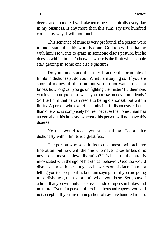degree and no more. I will take ten rupees unethically every day in my business. If any more than this sum, say five hundred comes my way, I will not touch it.

This sentence of mine is very profound. If a person were to understand this, his work is done! God too will be happy with him: He wants to graze in someone else's pasture, but he does so within limits! Otherwise where is the limit when people start grazing in some one else's pasture?

Do you understand this rule? Practice the principle of limits in dishonesty, do you? What I am saying is, 'If you are short of money all the time but you do not want to accept bribes, how long can you go on fighting the matter? Furthermore, you invite more problems when you borrow money from friends.' So I tell him that he can resort to being dishonest, but within limits. A person who exercises limits in his dishonesty is better than one who is completely honest, because the honest man has an ego about his honesty, whereas this person will not have this disease.

No one would teach you such a thing! To practice dishonesty within limits is a great feat.

The person who sets limits to dishonesty will achieve liberation, but how will the one who never takes bribes or is never dishonest achieve liberation? It is because the latter is intoxicated with the ego of his ethical behavior. God too would dismiss him with the smugness he wears on his face. I am not telling you to accept bribes but I am saying that if you are going to be dishonest, then set a limit when you do so. Set yourself a limit that you will only take five hundred rupees in bribes and no more. Even if a person offers five thousand rupees, you will not accept it. If you are running short of say five hundred rupees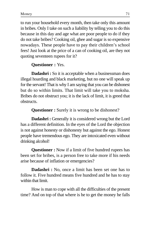to run your household every month, then take only this amount in bribes. Only I take on such a liability by telling you to do this because in this day and age what are poor people to do if they do not take bribes? Cooking oil, ghee and sugar is so expensive nowadays. These people have to pay their children's school fees! Just look at the price of a can of cooking oil, are they not quoting seventeen rupees for it?

# **Questioner :** Yes.

**Dadashri** : So it is acceptable when a businessman does illegal hoarding and black marketing, but no one will speak up for the servant! That is why I am saying that you can be dishonest but do so within limits. That limit will take you to moksha. Bribes do not obstruct you; it is the lack of limit, it is greed that obstructs.

**Questioner :** Surely it is wrong to be dishonest?

**Dadashri :** Generally it is considered wrong but the Lord has a different definition. In the eyes of the Lord the objection is not against honesty or dishonesty but against the ego. Honest people have tremendous ego. They are intoxicated even without drinking alcohol!

**Questioner :** Now if a limit of five hundred rupees has been set for bribes, is a person free to take more if his needs arise because of inflation or emergencies?

**Dadashri :** No, once a limit has been set one has to follow it. Five hundred means five hundred and he has to stay within that limit.

How is man to cope with all the difficulties of the present time? And on top of that where is he to get the money he falls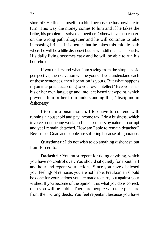short of? He finds himself in a bind because he has nowhere to turn. This way the money comes to him and if he takes the bribe, his problem is solved altogether. Otherwise a man can go on the wrong path altogether and he will continue to take increasing bribes. It is better that he takes this middle path where he will be a little dishonest but he will still maintain honesty. His daily living becomes easy and he will be able to run his household.

If you understand what I am saying from the simple basic perspective, then salvation will be yours. If you understand each of these sentences, then liberation is yours. But what happens if you interpret it according to your own intellect? Everyone has his or her own language and intellect based viewpoint, which prevents him or her from understanding this, 'discipline in dishonesty'.

I too am a businessman. I too have to contend with running a household and pay income tax. I do a business, which involves contracting work, and such business by nature is corrupt and yet I remain detached. How am I able to remain detached? Because of Gnan and people are suffering because of ignorance.

**Questioner :** I do not wish to do anything dishonest, but I am forced to.

**Dadashri** : You must repent for doing anything, which you have no control over. You should sit quietly for about half and hour and repent your actions. Since you have disclosed your feelings of remorse, you are not liable. Pratikraman should be done for your actions you are made to carry out against your wishes. If you become of the opinion that what you do is correct, then you will be liable. There are people who take pleasure from their wrong deeds. You feel repentant because you have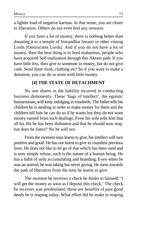a lighter load of negative karmas. In that sense, you are closer to liberation. Others do not even feel any remorse.

If you have a lot of money, there is nothing better than donating it to a temple of Simandhar Swami or other vitarag Lords (Omniscient Lords). And if you do not have a lot of money, then the best thing is to feed mahatmas, people who have acquired Self-realization through this Akram path. If you have little less, then give to someone in misery, but do not give cash. Send them food, clothing etc! So if you want to make a donation, you can do so even with little money.

#### **[4] THE STATE OF DETACHMENT**

No one shares in the liability incurred in conducting business dishonestly. These 'bags of intellect', the egoistic businessman, will keep indulging in misdeeds. The father tells his children he is stealing in order to make money for them and the children tell him he can do so if he wants but they do not want money earned from such dealings. Even his wife tells him that all his life he has been dishonest and that he should now stop, but does he listen? No he will not.

From the moment man learns to give, his intellect will turn positive and good. He has not learnt to give in countless previous lives. He does not like to let go of that which has been used and is now simply refuse, such is the nature of a human being. He has a habit of only accumulating and hoarding. Even when he was an animal, he was taking but never giving. He turns towards the path of liberation from the time he learns to give.

The moment he receives a check he thinks to himself: 'I will get the money as soon as I deposit this check.' The check he receives was predestined; these are benefits of past good deeds he is reaping today. What effort did he make in reaping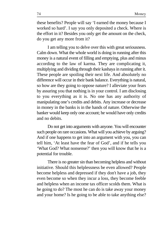these benefits? People will say 'I earned the money because I worked so hard'. I say you only deposited a check. Where is the effort in it? Besides you only get the amount on the check, do you get any more from it?

I am telling you to delve over this with great seriousness. Calm down. What the whole world is doing in running after this money is a natural event of filling and emptying, plus and minus according to the law of karma. They are complicating it, multiplying and dividing through their kashaya in running after it. These people are spoiling their next life. And absolutely no difference will occur in their bank balance. Everything is natural, so how are they going to oppose nature? I alleviate your fears by assuring you that nothing is in your control. I am disclosing to you everything as it is. No one has any authority of manipulating one's credits and debits. Any increase or decrease in money in the banks is in the hands of nature. Otherwise the banker would keep only one account; he would have only credits and no debits.

Do not get into arguments with anyone. You will encounter such people on rare occasions. What will you achieve by arguing? And if one happens to get into an argument with you, you can tell him, 'At least have the fear of God', and if he tells you 'What God? What nonsense?' then you will know that he is a potential for trouble.

There is no greater sin than becoming helpless and without initiative. Should this helplessness be even allowed? People become helpless and depressed if they don't have a job, they even become so when they incur a loss, they become feeble and helpless when an income tax officer scolds them. What is he going to do? The most he can do is take away your money and your home? Is he going to be able to take anything else?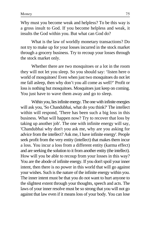Why must you become weak and helpless? To be this way is a gross insult to God. If you become helpless and weak, it insults the God within you. But what can God do?

What is the law of worldly monetary transactions? Do not try to make up for your losses incurred in the stock market through a grocery business. Try to recoup your losses through the stock market only.

Whether there are two mosquitoes or a lot in the room they will not let you sleep. So you should say: 'listen here o world of mosquitoes! Even when just two mosquitoes do not let me fall asleep, then why don't you all come as well?' Profit or loss is nothing but mosquitoes. Mosquitoes just keep on coming. You just have to wave them away and go to sleep.

Within you, lies infinite energy. The one with infinite energies will ask you, 'So Chandubhai, what do you think?' The intellect within will respond, 'There has been such a big loss in this business. What will happen now? Try to recover that loss by taking up another job'. The one with infinite energy will say, 'Chandubhai why don't you ask me, why are you asking for advice from the intellect? Ask me, I have infinite energy'. People seek profit from the very entity (intellect) that makes them incur a loss. You incur a loss from a different entity (karma effect) and are seeking the solution to it from another entity (the intellect). How will you be able to recoup from your losses in this way? You are the abode of infinite energy. If you don't spoil your inner intent, then there is no power in this world that will go against your wishes. Such is the nature of the infinite energy within you. The inner intent must be that you do not want to hurt anyone to the slightest extent through your thoughts, speech and acts. The laws of your inner resolve must be so strong that you will not go against that law even if it means loss of your body. You can lose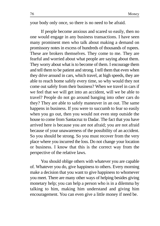your body only once, so there is no need to be afraid.

If people become anxious and scared so easily, then no one would engage in any business transactions. I have seen many prominent men who talk about making a demand on promissory notes in excess of hundreds of thousands of rupees. These are brokers themselves. They come to me. They are fearful and worried about what people are saying about them. They worry about what is to become of them. I encourage them and tell them to be patient and strong. I tell them that even when they drive around in cars, which travel, at high speeds, they are able to reach home safely every time, so why would they not come out safely from their business? When we travel in cars if we feel that we will get into an accident, will we be able to travel? People do not go around banging into other cars do they? They are able to safely maneuver in an out. The same happens in business. If you were to succumb to fear so easily when you go out, then you would not even step outside the house to come from Santacruz to Dadar. The fact that you have arrived here is because you are not afraid; you are not afraid because of your unawareness of the possibility of an accident. So you should be strong. So you must recover from the very place where you incurred the loss. Do not change your location or business. I know that this is the correct way from the perspective of the relative laws.

You should oblige others with whatever you are capable of. Whatever you do, give happiness to others. Every morning make a decision that you want to give happiness to whomever you meet. There are many other ways of helping besides giving monetary help; you can help a person who is in a dilemma by talking to him, making him understand and giving him encouragement. You can even give a little money if need be.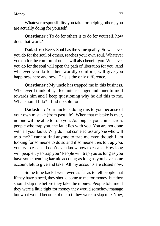Whatever responsibility you take for helping others, you are actually doing for yourself.

**Questioner :** To do for others is to do for yourself, how does that work?

**Dadashri :** Every Soul has the same quality. So whatever you do for the soul of others, reaches your own soul. Whatever you do for the comfort of others will also benefit you. Whatever you do for the soul will open the path of liberation for you. And whatever you do for their worldly comforts, will give you happiness here and now. This is the only difference.

**Questioner :** My uncle has trapped me in this business. Whenever I think of it, I feel intense anger and inner turmoil towards him and I keep questioning why he did this to me. What should I do? I find no solution.

**Dadashri :** Your uncle is doing this to you because of your own mistake (from past life). When that mistake is over, no one will be able to trap you. As long as you come across people who trap you, the fault lies with you. You are not done with all your faults. Why do I not come across anyone who will trap me? I cannot find anyone to trap me even though I am looking for someone to do so and if someone tries to trap you, you try to escape. I don't even know how to escape. How long will people try to trap you? People will trap you as long as you have some pending karmic account; as long as you have some account left to give and take. All my accounts are closed now.

Some time back I went even as far as to tell people that if they have a need, they should come to me for money, but they should slap me before they take the money. People told me if they were a little tight for money they would somehow manage but what would become of them if they were to slap me? Now,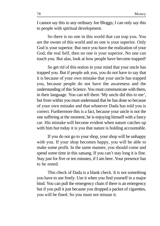I cannot say this to any ordinary Joe Bloggs; I can only say this to people with spiritual development.

So there is no one in this world that can trap you. You are the owner of this world and no one is your superior. Only God is your superior. But once you have the realization of your God, the real Self, then no one is your superior. No one can touch you. But alas, look at how people have become trapped!

So get rid of this notion in your mind that your uncle has trapped you. But if people ask you, you do not have to say that it is because of your own mistake that your uncle has trapped you, because people do not have the awareness and the understanding of this Science. You must communicate with them, in their language. You can tell them 'My uncle did this to me', but from within you must understand that he has done so because of your own mistake and that whatever Dada has told you is correct. Furthermore this is a fact, because your uncle is not the one suffering at the moment, he is enjoying himself with a fancy car. His mistake will become evident when nature catches up with him but today it is you that nature is holding accountable.

If you do not go to your shop, your shop will be unhappy with you. If your shop becomes happy, you will be able to make some profit. In the same manner, you should come and spend some time in this satsang. If you can't stay long it is fine. Stay just for five or ten minutes, if I am here. Your presence has to be noted.

This check of Dada is a blank check. It is not something you have to use freely. Use it when you find yourself in a major bind. You can pull the emergency chain if there is an emergency but if you pull it just because you dropped a packet of cigarettes, you will be fined. So you must not misuse it.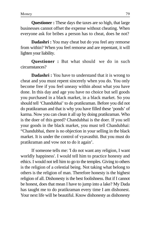**Questioner :** These days the taxes are so high, that large businesses cannot offset the expense without cheating. When everyone ask for bribes a person has to cheat, does he not?

**Dadashri :** You may cheat but do you feel any remorse from within? When you feel remorse and are repentant, it will lighten your liability.

**Questioner :** But what should we do in such circumstances?

**Dadashri :** You have to understand that it is wrong to cheat and you must repent sincerely when you do. You only become free if you feel uneasy within about what you have done. In this day and age you have no choice but sell goods you purchased in a black market, in a black market. So you should tell 'Chandubhai' to do pratikraman. Before you did not do pratikraman and that is why you have filled these 'ponds' of karma. Now you can clean it all up by doing pratikraman. Who is the doer of this greed? Chandubhai is the doer. If you sell your goods in the black market, you must tell Chandubhai: "Chandubhai, there is no objection in your selling in the black market. It is under the control of vyavasthit. But you must do pratikraman and vow not to do it again'.

If someone tells me: 'I do not want any religion, I want worldly happiness'. I would tell him to practice honesty and ethics. I would not tell him to go to the temples. Giving to others is the religion of a celestial being. Not taking what belong to others is the religion of man. Therefore honesty is the highest religion of all. Dishonesty is the best foolishness. But if I cannot be honest, does that mean I have to jump into a lake? My Dada has taught me to do pratikraman every time I am dishonest. Your next life will be beautiful. Know dishonesty as dishonesty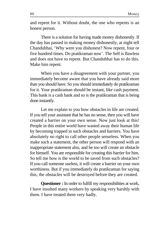and repent for it. Without doubt, the one who repents is an honest person.

There is a solution for having made money dishonestly. If the day has passed in making money dishonestly, at night tell Chandubhai, 'Why were you dishonest? Now repent, four or five hundred times. Do pratikraman now'. The Self is flawless and does not have to repent. But Chandubhai has to do this. Make him repent.

When you have a disagreement with your partner, you immediately become aware that you have already said more than you should have. So you should immediately do pratikraman for it. Your pratikraman should be instant, like cash payment. This bank is a cash bank and so is the pratikraman that is being done instantly.

Let me explain to you how obstacles in life are created. If you tell your assistant that he has no sense, then you will have created a barrier on your own sense. Now just look at this! People in this entire world have wasted away their human life by becoming trapped in such obstacles and barriers. You have absolutely no right to call other people senseless. When you make such a statement, the other person will respond with an inappropriate statement also, and he too will create an obstacle for himself. You are responsible for creating this barrier for him. So tell me how is the world to be saved from such obstacles? If you call someone useless, it will create a barrier on your own worthiness. But if you immediately do pratikraman for saying this, the obstacles will be destroyed before they are created.

**Questioner :** In order to fulfill my responsibilities at work, I have insulted many workers by speaking very harshly with them. I have treated them very badly.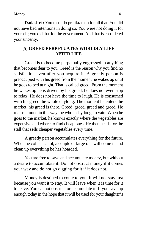**Dadashri :** You must do pratikraman for all that. You did not have bad intentions in doing so. You were not doing it for yourself; you did that for the government. And that is considered your sincerity.

### **[5] GREED PERPETUATES WORLDLY LIFE AFTER LIFE**

Greed is to become perpetually engrossed in anything that becomes dear to you. Greed is the reason why you find no satisfaction even after you acquire it. A greedy person is preoccupied with his greed from the moment he wakes up until he goes to bed at night. That is called greed. From the moment he wakes up he is driven by his greed; he does not even stop to relax. He does not have the time to laugh. He is consumed with his greed the whole daylong. The moment he enters the market, his greed is there. Greed, greed, greed and greed. He roams around in this way the whole day long, in vain. When he goes to the market, he knows exactly where the vegetables are expensive and where to find cheap ones. He then heads for the stall that sells cheaper vegetables every time.

A greedy person accumulates everything for the future. When he collects a lot, a couple of large rats will come in and clean up everything he has hoarded.

You are free to save and accumulate money, but without a desire to accumulate it. Do not obstruct money if it comes your way and do not go digging for it if it does not.

Money is destined to come to you. It will not stay just because you want it to stay. It will leave when it is time for it to leave. You cannot obstruct or accumulate it. If you save up enough today in the hope that it will be used for your daughter's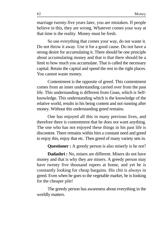marriage twenty-five years later, you are mistaken. If people believe in this, they are wrong. Whatever comes your way at that time is the reality. Money must be fresh.

So use everything that comes your way, do not waste it. Do not throw it away. Use it for a good cause. Do not have a strong desire for accumulating it. There should be one principle about accumulating money and that is that there should be a limit to how much you accumulate. That is called the necessary capital. Retain the capital and spend the rest in the right places. You cannot waste money.

Contentment is the opposite of greed. This contentment comes from an inner understanding carried over from the past life. This understanding is different from Gnan, which is Selfknowledge. This understanding which is the knowledge of the relative world, results in his being content and not running after money. Without this understanding greed remains.

One has enjoyed all this in many previous lives, and therefore there is contentment that he does not want anything. The one who has not enjoyed these things in his past life is discontent. There remains within him a constant need and greed to enjoy this, enjoy that etc. Then greed of many variety sets in.

**Questioner :** A greedy person is also miserly is he not?

**Dadashri :** No, misers are different. Misers do not have money and that is why they are misers. A greedy person may have twenty five thousand rupees at home, and yet he is constantly looking for cheap bargains. His chit is always in greed. Even when he goes to the vegetable market, he is looking for the cheaper pile!

The greedy person has awareness about everything in the worldly matters.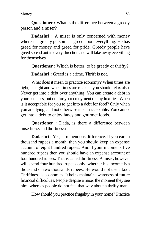**Questioner :** What is the difference between a greedy person and a miser?

**Dadashri** : A miser is only concerned with money whereas a greedy person has greed about everything. He has greed for money and greed for pride. Greedy people have greed spread out in every direction and will take away everything for themselves.

**Questioner :** Which is better, to be greedy or thrifty?

**Dadashri :** Greed is a crime. Thrift is not.

What does it mean to practice economy? When times are tight, be tight and when times are relaxed, you should relax also. Never get into a debt over anything. You can create a debt in your business, but not for your enjoyment or any luxuries. When is it acceptable for you to get into a debt for food? Only when you are dying, and not otherwise it is unacceptable. You cannot get into a debt to enjoy fancy and gourmet foods.

**Questioner :** Dada, is there a difference between miserliness and thriftiness?

**Dadashri :** Yes, a tremendous difference. If you earn a thousand rupees a month, then you should keep an expense account of eight hundred rupees. And if your income is five hundred rupees then you should have an expense account of four hundred rupees. That is called thriftiness. A miser, however will spend four hundred rupees only, whether his income is a thousand or two thousands rupees. He would not use a taxi. Thriftiness is economics. It helps maintain awareness of future financial difficulties. People despise a miser the moment they see him, whereas people do not feel that way about a thrifty man.

How should you practice frugality in your home? Practice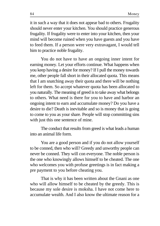it in such a way that it does not appear bad to others. Frugality should never enter your kitchen. You should practice generous frugality. If frugality were to enter into your kitchen, then your mind will become ruined when you have guests and you have to feed them. If a person were very extravagant, I would tell him to practice noble frugality.

You do not have to have an ongoing inner intent for earning money. Let your efforts continue. What happens when you keep having a desire for money? If I pull the money towards me, other people fall short in their allocated quota. This means that I am snatching away their quota and there will be nothing left for them. So accept whatever quota has been allocated to you naturally. The meaning of greed is to take away what belongs to others. What need is there for you to have and harbor an ongoing intent to earn and accumulate money? Do you have a desire to die? Death is inevitable and so is money that is going to come to you as your share. People will stop committing sins with just this one sentence of mine.

The conduct that results from greed is what leads a human into an animal life form.

You are a good person and if you do not allow yourself to be conned, then who will? Greedy and unworthy people can never be conned. They will con everyone. The noble person is the one who knowingly allows himself to be cheated. The one who welcomes you with profuse greetings is in fact making a pre payment to you before cheating you.

That is why it has been written about the Gnani as one who will allow himself to be cheated by the greedy. This is because my sole desire is moksha. I have not come here to accumulate wealth. And I also know the ultimate reason for a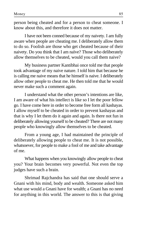person being cheated and for a person to cheat someone. I know about this, and therefore it does not matter.

I have not been conned because of my naivety. I am fully aware when people are cheating me. I deliberately allow them to do so. Foolish are those who get cheated because of their naivety. Do you think that I am naïve? Those who deliberately allow themselves to be cheated, would you call them naive?

My business partner Kantibhai once told me that people took advantage of my naive nature. I told him that because he is calling me naive means that he himself is naive. I deliberately allow other people to cheat me. He then told me that he would never make such a comment again.

I understand what the other person's intentions are like, I am aware of what his intellect is like so I let the poor fellow go. I have come here in order to become free form all kashayas. I allow myself to be cheated in order to prevent kashayas and that is why I let them do it again and again. Is there not fun in deliberately allowing yourself to be cheated? There are not many people who knowingly allow themselves to be cheated.

From a young age, I had maintained the principle of deliberately allowing people to cheat me. It is not possible, whatsoever, for people to make a fool of me and take advantage of me.

What happens when you knowingly allow people to cheat you? Your brain becomes very powerful. Not even the top judges have such a brain.

Shrimad Rajchandra has said that one should serve a Gnani with his mind, body and wealth. Someone asked him what use would a Gnani have for wealth; a Gnani has no need for anything in this world. The answer to this is that giving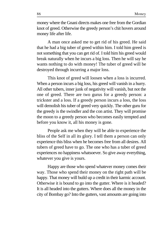money where the Gnani directs makes one free from the Gordian knot of greed. Otherwise the greedy person's chit hovers around money life after life.

A man once asked me to get rid of his greed. He said that he had a big tuber of greed within him. I told him greed is not something that you can get rid of. I told him his greed would break naturally when he incurs a big loss. Then he will say he wants nothing to do with money! The tuber of greed will be destroyed through incurring a major loss.

This knot of greed will loosen when a loss is incurred. When a person incurs a big loss, his greed will vanish in a hurry. All other tubers, inner junk of negativity will vanish, but not the one of greed. There are two gurus for a greedy person: a trickster and a loss. If a greedy person incurs a loss, the loss will demolish his tuber of greed very quickly. The other guru for the greedy is the swindler and the con artist. They will promise the moon to a greedy person who becomes easily tempted and before you know it, all his money is gone.

People ask me when they will be able to experience the bliss of the Self in all its glory. I tell them a person can only experience this bliss when he becomes free from all desires. All tubers of greed have to go. The one who has a tuber of greed experiences no happiness whatsoever. So give away everything, whatever you give is yours.

Happy are those who spend whatever money comes their way. Those who spend their money on the right path will be happy. That money will build up a credit in their karmic account. Otherwise it is bound to go into the gutter. Where is it headed? It is all headed into the gutters. Where does all the money in the city of Bombay go? Into the gutters, vast amounts are going into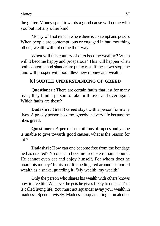the gutter. Money spent towards a good cause will come with you but not any other kind.

Money will not remain where there is contempt and gossip. When people are contemptuous or engaged in bad mouthing others, wealth will not come their way.

When will this country of ours become wealthy? When will it become happy and prosperous? This will happen when both contempt and slander are put to rest. If these two stop, the land will prosper with boundless new money and wealth.

# **[6] SUBTLE UNDERSTANDING OF GREED**

**Questioner :** There are certain faults that last for many lives; they bind a person to take birth over and over again. Which faults are these?

**Dadashri** : Greed! Greed stays with a person for many lives. A greedy person becomes greedy in every life because he likes greed.

**Questioner :** A person has millions of rupees and yet he is unable to give towards good causes, what is the reason for this?

**Dadashri :** How can one become free from the bondage he has created? No one can become free. He remains bound. He cannot even eat and enjoy himself. For whom does he hoard his money? In his past life he lingered around his buried wealth as a snake, guarding it: 'My wealth, my wealth.'

Only the person who shares his wealth with others knows how to live life. Whatever he gets he gives freely to others! That is called living life. You must not squander away your wealth in madness. Spend it wisely. Madness is squandering it on alcohol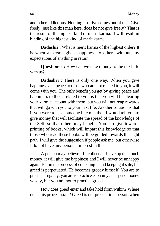and other addictions. Nothing positive comes out of this. Give freely; just like this man here, does he not give freely? That is the result of the highest kind of merit karma*.* It will result in binding of the highest kind of merit karma.

**Dadashri :** What is merit karma of the highest order? It is when a person gives happiness to others without any expectations of anything in return.

**Questioner :** How can we take money to the next life with us?

**Dadashri :** There is only one way. When you give happiness and peace to those who are not related to you, it will come with you. The only benefit you get by giving peace and happiness to those related to you is that you will be clearing your karmic account with them, but you will not reap rewards that will go with you to your next life. Another solution is that if you were to ask someone like me, then I would tell you to give money that will facilitate the spread of the knowledge of the Self, so that others may benefit. You can give towards printing of books, which will impart this knowledge so that those who read these books will be guided towards the right path. I will give the suggestion if people ask me, but otherwise I do not have any personal interest in this.

A person may believe: If I collect and save up this much money, it will give me happiness and I will never be unhappy again. But in the process of collecting it and keeping it safe, his greed is perpetuated. He becomes greedy himself. You are to practice frugality, you are to practice economy and spend money wisely, but you are not to practice greed.

How does greed enter and take hold from within? Where does this process start? Greed is not present in a person when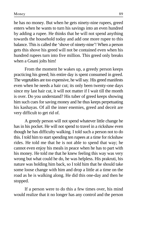he has no money. But when he gets ninety-nine rupees, greed enters when he wants to turn his savings into an even hundred by adding a rupee. He thinks that he will not spend anything towards the household today and add one more rupee to this balance. This is called the 'shove of ninety-nine'! When a person gets this shove his greed will not be contained even when his hundred rupees turn into five million. This greed only breaks when a Gnani jolts him!

From the moment he wakes up, a greedy person keeps practicing his greed; his entire day is spent consumed in greed. The vegetables are too expensive, he will say. His greed manifests even when he needs a hair cut; its only been twenty-one days since my last hair cut, it will not matter if I wait till the month is over. Do you understand? His tuber of greed keeps showing him such cues for saving money and he thus keeps perpetuating his kashayas. Of all the inner enemies, greed and deceit are very difficult to get rid of.

A greedy person will not spend whatever little change he has in his pocket. He will not spend to travel in a rickshaw even though he has difficulty walking. I told such a person not to do this. I told him to start spending ten rupees at a time for rickshaw rides. He told me that he is not able to spend that way; he cannot even enjoy his meals in peace when he has to part with his money. He told me that he knew feeling this way was very wrong but what could he do, he was helpless. His prakruti, his nature was holding him back, so I told him that he should take some loose change with him and drop a little at a time on the road as he is walking along. He did this one-day and then he stopped.

If a person were to do this a few times over, his mind would realize that it no longer has any control and the person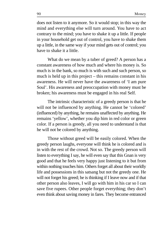does not listen to it anymore. So it would stop; in this way the mind and everything else will turn around. You have to act contrary to the mind; you have to shake it up a little. If people in your household get out of control, you have to shake them up a little, in the same way if your mind gets out of control; you have to shake it a little.

What do we mean by a tuber of greed? A person has a constant awareness of how much and where his money is. So much is in the bank, so much is with such and such person, so much is held up in this project – this remains constant in his awareness. He will never have the awareness of 'I am pure Soul'. His awareness and preoccupation with money must be broken; his awareness must be engaged in his real Self.

The intrinsic characteristic of a greedy person is that he will not be influenced by anything. He cannot be 'colored' (influenced) by anything, he remains unaffected by anything. He remains 'yellow', whether you dip him in red color or green color. If a person is greedy, all you need to understand is that he will not be colored by anything.

Those without greed will be easily colored. When the greedy person laughs, everyone will think he is colored and is in with the rest of the crowd. Not so. The greedy person will listen to everything I say, he will even say that this Gnan is very good and that he feels very happy just listening to it but from within nothing touches him. Others forget all about their worldly life and possessions in this satsang but not the greedy one. He will not forget his greed; he is thinking if I leave now and if that other person also leaves, I will go with him in his car so I can save five rupees. Other people forget everything; they don't even think about saving money in fares. They become entranced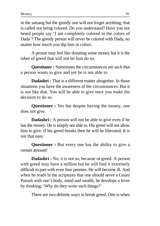in the satsang but the greedy one will not forget anything; that is called not being colored. Do you understand? Have you not heard people say 'I am completely colored in the colors of Dada'? The greedy person will never be colored with Dada, no matter how much you dip him in colors.

A person may feel like donating some money but it is the tuber of greed that will not let him do so.

**Questioner :** Sometimes the circumstances are such that a person wants to give and yet he is not able to.

**Dadashri :** That is a different matter altogether. In those situations you have the awareness of the circumstances. But it is not like that. You will be able to give once you make the decision to do so.

**Questioner :** Yes but despite having the money, one does not give.

**Dadashri :** A person will not be able to give even if he has the money. He is simply not able to. His greed will not allow him to give. If his greed breaks then he will be liberated. It is not that easy.

**Questioner :** But every one has the ability to give a certain amount!

**Dadashri :** No, it is not so, because of greed. A person with greed may have a million but he will find it extremely difficult to part with even four pennies. He will become ill. And when he reads in the scriptures that one should serve a Gnani Purush with one's body, mind and wealth, he develops a fever by thinking, 'Why do they write such things?'

There are two definite ways to break greed. One is when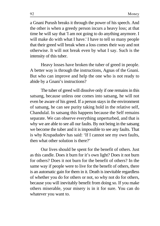a Gnani Purush breaks it through the power of his speech. And the other is when a greedy person incurs a heavy loss; at that time he will say that 'I am not going to do anything anymore. I will make do with what I have.' I have to tell so many people that their greed will break when a loss comes their way and not otherwise. It will not break even by what I say. Such is the intensity of this tuber.

Heavy losses have broken the tuber of greed in people. A better way is through the instructions, Agnas of the Gnani. But who can improve and help the one who is not ready to abide by a Gnani's instructions?

The tuber of greed will dissolve only if one remains in this satsang, because unless one comes into satsang, he will not even be aware of his greed. If a person stays in the environment of satsang, he can see purity taking hold in the relative self, Chandulal. In satsang this happens because the Self remains separate. We can observe everything unperturbed, and that is why we are able to see all our faults. By not being in the satsang we become the tuber and it is impossible to see any faults. That is why Krupadudev has said: 'If I cannot see my own faults, then what other solution is there?'

Our lives should be spent for the benefit of others. Just as this candle. Does it burn for it's own light? Does it not burn for others? Does it not burn for the benefit of others? In the same way if people were to live for the benefit of others, there is an automatic gain for them in it. Death is inevitable regardless of whether you do for others or not, so why not do for others, because you will inevitably benefit from doing so. If you make others miserable, your misery is in it for sure. You can do whatever you want to.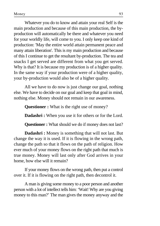Whatever you do to know and attain your real Self is the main production and because of this main production, the byproduction will automatically be there and whatever you need for your worldly life, will come to you. I only keep one kind of production: 'May the entire world attain permanent peace and many attain liberation'. This is my main production and because of this I continue to get the resultant by-production. The tea and snacks I get served are different from what you get served. Why is that? It is because my production is of a higher quality. In the same way if your production were of a higher quality, your by-production would also be of a higher quality.

All we have to do now is just change our goal, nothing else. We have to decide on our goal and keep that goal in mind, nothing else. Money should not remain in our awareness.

**Questioner :** What is the right use of money?

**Dadashri :** When you use it for others or for the Lord.

**Questioner :** What should we do if money does not last?

**Dadashri :** Money is something that will not last. But change the way it is used. If it is flowing in the wrong path, change the path so that it flows on the path of religion. How ever much of your money flows on the right path that much is true money. Money will last only after God arrives in your home, how else will it remain?

If your money flows on the wrong path, then put a control over it. If it is flowing on the right path, then decontrol it.

A man is giving some money to a poor person and another person with a lot of intellect tells him: 'Wait! Why are you giving money to this man?' The man gives the money anyway and the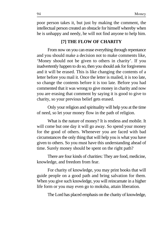poor person takes it, but just by making the comment, the intellectual person created an obstacle for himself whereby when he is unhappy and needy, he will not find anyone to help him.

### **[7] THE FLOW OF CHARITY**

From now on you can erase everything through repentance and you should make a decision not to make comments like, 'Money should not be given to others in charity'. If you inadvertently happen to do so, then you should ask for forgiveness and it will be erased. This is like changing the contents of a letter before you mail it. Once the letter is mailed, it is too late, so change the contents before it is too late. Before you had commented that it was wrong to give money in charity and now you are erasing that comment by saying it is good to give to charity, so your previous belief gets erased.

Only your religion and spirituality will help you at the time of need, so let your money flow in the path of religion.

What is the nature of money? It is restless and mobile. It will come but one day it will go away. So spend your money for the good of others. Whenever you are faced with bad circumstances the only thing that will help you is what you have given to others. So you must have this understanding ahead of time. Surely money should be spent on the right path?

There are four kinds of charities: They are food, medicine, knowledge, and freedom from fear.

For charity of knowledge, you may print books that will guide people on a good path and bring salvation for them. When you give such knowledge, you will reincarnate in a higher life form or you may even go to moksha, attain liberation.

The Lord has placed emphasis on the charity of knowledge,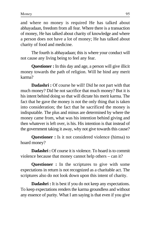and where no money is required He has talked about abhayadaan, freedom from all fear. Where there is a transaction of money, He has talked about charity of knowledge and where a person does not have a lot of money; He has talked about charity of food and medicine.

The fourth is abhayadaan; this is where your conduct will not cause any living being to feel any fear.

**Questioner :** In this day and age, a person will give illicit money towards the path of religion. Will he bind any merit karma?

**Dadashri :** Of course he will! Did he not part with that much money? Did he not sacrifice that much money? But it is his intent behind doing so that will dictate his merit karma. The fact that he gave the money is not the only thing that is taken into consideration; the fact that he sacrificed the money is indisputable. The plus and minus are determined by where the money came from, what was his intention behind giving and then whatever is left over, is his. His intention is that instead of the government taking it away, why not give towards this cause?

**Questioner :** Is it not considered violence (himsa) to hoard money?

**Dadashri :** Of course it is violence. To hoard is to commit violence because that money cannot help others – can it?

**Questioner :** In the scriptures to give with some expectations in return is not recognized as a charitable act. The scriptures also do not look down upon this intent of charity.

**Dadashri :** It is best if you do not keep any expectations. To keep expectations renders the karma groundless and without any essence of purity. What I am saying is that even if you give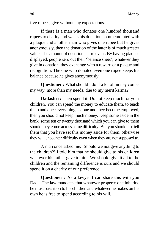five rupees, give without any expectations.

If there is a man who donates one hundred thousand rupees to charity and wants his donation commemorated with a plaque and another man who gives one rupee but he gives anonymously, then the donation of the latter is of much greater value. The amount of donation is irrelevant. By having plaques displayed, people zero out their 'balance sheet'; whatever they give in donation, they exchange with a reward of a plaque and recognition. The one who donated even one rupee keeps his balance because he gives anonymously.

**Questioner :** What should I do if a lot of money comes my way, more than my needs, due to my merit karma?

**Dadashri :** Then spend it. Do not keep much for your children. You can spend the money to educate them, to teach them and once everything is done and they become employed, then you should not keep much money. Keep some aside in the bank, some ten or twenty thousand which you can give to them should they come across some difficulty. But you should not tell them that you have set this money aside for them, otherwise they will encounter difficulty even when they are not supposed to.

A man once asked me: 'Should we not give anything to the children?' I told him that he should give to his children whatever his father gave to him. We should give it all to the children and the remaining difference is ours and we should spend it on a charity of our preference.

**Questioner :** As a lawyer I can share this with you Dada. The law mandates that whatever property one inherits, he must pass it on to his children and whatever he makes on his own he is free to spend according to his will.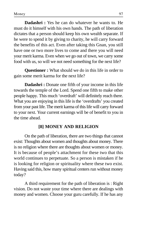**Dadashri :** Yes he can do whatever he wants to. He must do it himself with his own hands. The path of liberation dictates that a person should keep his own wealth separate. If he were to spend it by giving to charity, he will carry forward the benefits of this act. Even after taking this Gnan, you still have one or two more lives to come and there you will need your merit karma. Even when we go out of town, we carry some food with us, so will we not need something for the next life?

**Questioner :** What should we do in this life in order to gain some merit karma for the next life?

**Dadashri :** Donate one fifth of your income in this life towards the temple of the Lord. Spend one fifth to make other people happy. This much 'overdraft' will definitely reach there. What you are enjoying in this life is the 'overdrafts' you created from your past life. The merit karma of this life will carry forward to your next. Your current earnings will be of benefit to you in the time ahead.

#### **[8] MONEY AND RELIGION**

On the path of liberation, there are two things that cannot exist: Thoughts about women and thoughts about money. There is no religion where there are thoughts about women or money. It is because of people's attachment for these two that this world continues to perpetuate. So a person is mistaken if he is looking for religion or spirituality where these two exist. Having said this, how many spiritual centers run without money today?

A third requirement for the path of liberation is : Right vision. Do not waste your time where there are dealings with money and women. Choose your guru carefully. If he has any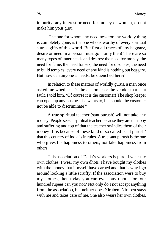impurity, any interest or need for money or woman, do not make him your guru.

 The one for whom any neediness for any worldly thing is completely gone, is the one who is worthy of every spiritual sutras, gifts of this world. But first all traces of any beggary, desire or need in a person must go – only then! There are so many types of inner needs and desires: the need for money, the need for fame, the need for sex, the need for disciples, the need to build temples; every need of any kind is nothing but beggary. But how can anyone's needs, be quenched here?

In relation to these matters of worldly gurus, a man once asked me whether it is the customer or the vendor that is at fault. I told him, 'Of course it is the customer! The shop keeper can open up any business he wants to, but should the customer not be able to discriminate?'

A true spiritual teacher (sant purush) will not take any money. People seek a spiritual teacher because they are unhappy and suffering and top of that the teacher swindles them of their money! It is because of these kind of so called 'sant purush' that this country of India is in ruins. A true sant purush is the one who gives his happiness to others, not take happiness from others.

This association of Dada's workers is pure. I wear my own clothes; I wear my own dhoti. I have bought my clothes with the money that I myself have earned and that is why I go around looking a little scruffy. If the association were to buy my clothes, then today you can even buy dhotis for four hundred rupees can you not? Not only do I not accept anything from the association, but neither does Niruben. Niruben stays with me and takes care of me. She also wears her own clothes,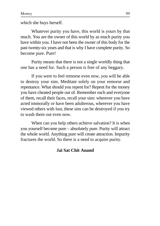which she buys herself.

Whatever purity you have, this world is yours by that much. You are the owner of this world by as much purity you have within you. I have not been the owner of this body for the past twenty-six years and that is why I have complete purity. So become pure. Pure!

Purity means that there is not a single worldly thing that one has a need for. Such a person is free of any beggary.

If you were to feel remorse even now, you will be able to destroy your sins. Meditate solely on your remorse and repentance. What should you repent for? Repent for the money you have cheated people out of. Remember each and everyone of them, recall their faces, recall your sins: wherever you have acted immorally or have been adulterous, wherever you have viewed others with lust, these sins can be destroyed if you try to wash them out even now.

When can you help others achieve salvation? It is when you yourself become pure – absolutely pure. Purity will attract the whole world. Anything pure will create attraction. Impurity fractures the world. So there is a need to acquire purity.

#### **Jai Sat Chit Anand**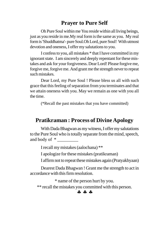## **Prayer to Pure Self**

Oh Pure Soul within me You reside within all living beings, just as you reside in me.My real form is the same as you. My real form is 'Shuddhatma'- pure Soul.Oh Lord, pure Soul! With utmost devotion and oneness, I offer my salutations to you.

I confess to you, all mistakes \* that I have committed in my ignorant state. I am sincerely and deeply repentant for these mistakes and ask for your forgiveness. Dear Lord! Please forgive me, forgive me, forgive me. And grant me the strength never to repeat such mistakes.

Dear Lord, my Pure Soul ! Please bless us all with such grace that this feeling of separation from you terminates and that we attain oneness with you. May we remain as one with you all the time.

(\*Recall the past mistakes that you have committed)

## **Pratikraman : Process of Divine Apology**

With Dada Bhagwan as my witness, I offer my salutations to the Pure Soul who is totally separate from the mind, speech, and body of  $*$ 

I recall my mistakes (aalochana) \*\*

I apologize for these mistakes (pratikraman)

I affirm not to repeat these mistakes again (Pratyakhyaan)

Dearest Dada Bhagwan ! Grant me the strength to act in accordance with this firm resolution.

\* name of the person hurt by you.

\*\* recall the mistakes you committed with this person.

♣ ♣ ♣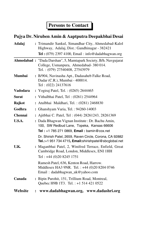# **Persons to Contact**

### **Pujya Dr. Niruben Amin & Aaptputra Deepakbhai Desai**

| Adalaj         |                | : Trimandir Sankul, Simandhar City, Ahmedabad-Kalol<br>Highway, Adalaj, Dist.: Gandhinagar - 382421                                           |
|----------------|----------------|-----------------------------------------------------------------------------------------------------------------------------------------------|
|                |                | Tel: $(079)$ 2397 4100, Email: info@dadabhagwan.org                                                                                           |
|                |                | Ahmedabad: "Dada Darshan", 5, Mamtapark Society, B/h. Navgujarat<br>College, Usmanpura, Ahmedabad- 380 014.<br>Tel.: (079) 27540408, 27543979 |
| <b>Mumbai</b>  |                | : B/904, Navinasha Apt., Dadasaheb Falke Road,<br>Dadar (C.R.), Mumbai - 400014.<br>Tel: (022) 24137616                                       |
| Vadodara       |                | : Yogiraj Patel, Tel.: (0265) 2644465                                                                                                         |
| <b>Surat</b>   |                | : Vithalbhai Patel, Tel: (0261) 2544964                                                                                                       |
| Rajkot         |                | : Atulbhai Maldhari, Tel.: (0281) 2468830                                                                                                     |
| Godhra         |                | Ghanshyam Varia, Tel.: 94260-14003                                                                                                            |
| <b>Chennai</b> |                | : Ajitbhai C. Patel, Tel: (044) 28261243, 28261369                                                                                            |
| U.S.A.         |                | : Dada Bhagwan Vignan Institute : Dr. Bachu Amin,<br>100, SW Redbud Lane, Topeka, Kansas 66606<br>Tel: +1 785 271 0869, Email: bamin@cox.net  |
|                |                | Dr. Shirish Patel, 2659, Raven Circle, Corona, CA 92882<br>Tel.:+1 951 734 4715, Email:shirishpatel@sbcglobal.net                             |
| U.K.           |                | : Maganbhai Patel, 2, Winifred Terrace, Enfield, Great<br>Cambridge Road, London, Middlesex, ENI 1HH                                          |
|                |                | Tel: $+44$ (0)20 8245 1751                                                                                                                    |
|                |                | Ramesh Patel, 636, Kenton Road, Harrow.<br>Middlesex HA3 9NR. Tel.: +44 (0)20 8204 0746<br>Email: dadabhagwan_uk@yahoo.com                    |
| Canada         |                | : Bipin Purohit, 151, Trillium Road, Montreal,<br>Quebec H9B 1T3. Tel.: +1 514 421 0522                                                       |
| Website        | $\ddot{\cdot}$ | www.dadabhagwan.org, www.dadashri.org                                                                                                         |